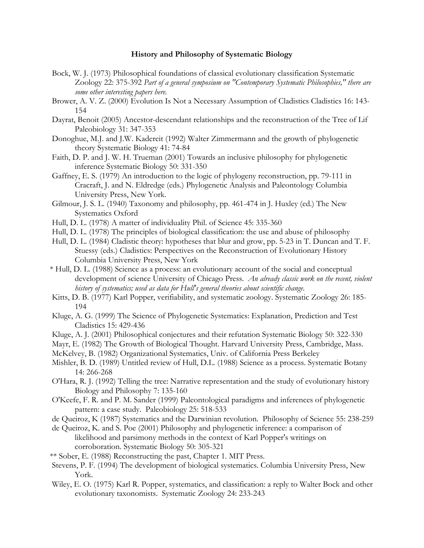# **History and Philosophy of Systematic Biology**

- Bock, W. J. (1973) Philosophical foundations of classical evolutionary classification Systematic Zoology 22: 375-392 *Part of a general symposium on "Contemporary Systematic Philosophies," there are some other interesting papers here.*
- Brower, A. V. Z. (2000) Evolution Is Not a Necessary Assumption of Cladistics Cladistics 16: 143- 154
- Dayrat, Benoit (2005) Ancestor-descendant relationships and the reconstruction of the Tree of Lif Paleobiology 31: 347-353
- Donoghue, M.J. and J.W. Kadereit (1992) Walter Zimmermann and the growth of phylogenetic theory Systematic Biology 41: 74-84
- Faith, D. P. and J. W. H. Trueman (2001) Towards an inclusive philosophy for phylogenetic inference Systematic Biology 50: 331-350
- Gaffney, E. S. (1979) An introduction to the logic of phylogeny reconstruction, pp. 79-111 in Cracraft, J. and N. Eldredge (eds.) Phylogenetic Analysis and Paleontology Columbia University Press, New York.
- Gilmour, J. S. L. (1940) Taxonomy and philosophy, pp. 461-474 in J. Huxley (ed.) The New Systematics Oxford
- Hull, D. L. (1978) A matter of individuality Phil. of Science 45: 335-360
- Hull, D. L. (1978) The principles of biological classification: the use and abuse of philosophy
- Hull, D. L. (1984) Cladistic theory: hypotheses that blur and grow, pp. 5-23 in T. Duncan and T. F. Stuessy (eds.) Cladistics: Perspectives on the Reconstruction of Evolutionary History Columbia University Press, New York
- \* Hull, D. L. (1988) Science as a process: an evolutionary account of the social and conceptual development of science University of Chicago Press. *An already classic work on the recent, violent history of systematics; used as data for Hull's general theories about scientific change.*
- Kitts, D. B. (1977) Karl Popper, verifiability, and systematic zoology. Systematic Zoology 26: 185- 194
- Kluge, A. G. (1999) The Science of Phylogenetic Systematics: Explanation, Prediction and Test Cladistics 15: 429-436
- Kluge, A. J. (2001) Philosophical conjectures and their refutation Systematic Biology 50: 322-330
- Mayr, E. (1982) The Growth of Biological Thought. Harvard University Press, Cambridge, Mass.
- McKelvey, B. (1982) Organizational Systematics, Univ. of California Press Berkeley
- Mishler, B. D. (1989) Untitled review of Hull, D.L. (1988) Science as a process. Systematic Botany 14: 266-268
- O'Hara, R. J. (1992) Telling the tree: Narrative representation and the study of evolutionary history Biology and Philosophy 7: 135-160
- O'Keefe, F. R. and P. M. Sander (1999) Paleontological paradigms and inferences of phylogenetic pattern: a case study. Paleobiology 25: 518-533
- de Queiroz, K (1987) Systematics and the Darwinian revolution. Philosophy of Science 55: 238-259
- de Queiroz, K. and S. Poe (2001) Philosophy and phylogenetic inference: a comparison of likelihood and parsimony methods in the context of Karl Popper's writings on corroboration. Systematic Biology 50: 305-321
- \*\* Sober, E. (1988) Reconstructing the past, Chapter 1. MIT Press.
- Stevens, P. F. (1994) The development of biological systematics. Columbia University Press, New York.
- Wiley, E. O. (1975) Karl R. Popper, systematics, and classification: a reply to Walter Bock and other evolutionary taxonomists. Systematic Zoology 24: 233-243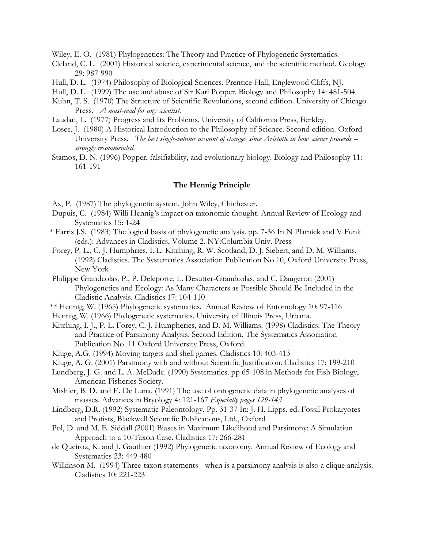Wiley, E. O. (1981) Phylogenetics: The Theory and Practice of Phylogenetic Systematics.

- Cleland, C. L. (2001) Historical science, experimental science, and the scientific method. Geology 29: 987-990
- Hull, D. L. (1974) Philosophy of Biological Sciences. Prentice-Hall, Englewood Cliffs, NJ.
- Hull, D. L. (1999) The use and abuse of Sir Karl Popper. Biology and Philosophy 14: 481-504
- Kuhn, T. S. (1970) The Structure of Scientific Revolutions, second edition. University of Chicago Press. *A must-read for any scientist.*
- Laudan, L. (1977) Progress and Its Problems. University of California Press, Berkley.
- Losee, J. (1980) A Historical Introduction to the Philosophy of Science. Second edition. Oxford University Press. *The best single-volume account of changes since Aristotle in how science proceeds - strongly recommended.*
- Stamos, D. N. (1996) Popper, falsifiability, and evolutionary biology. Biology and Philosophy 11: 161-191

# **The Hennig Principle**

- Ax, P. (1987) The phylogenetic system. John Wiley, Chichester.
- Dupuis, C. (1984) Willi Hennig's impact on taxonomic thought. Annual Review of Ecology and Systematics 15: 1-24
- \* Farris J.S. (1983) The logical basis of phylogenetic analysis. pp. 7-36 In N Platnick and V Funk (eds.): Advances in Cladistics, Volume 2. NY:Columbia Univ. Press
- Forey, P. L., C. J. Humphries, I. L. Kitching, R. W. Scotland, D. J. Siebert, and D. M. Williams. (1992) Cladistics. The Systematics Association Publication No.10, Oxford University Press, New York
- Philippe Grandcolas, P., P. Deleporte, L. Desutter-Grandcolas, and C. Daugeron (2001) Phylogenetics and Ecology: As Many Characters as Possible Should Be Included in the Cladistic Analysis. Cladistics 17: 104-110
- \*\* Hennig, W. (1965) Phylogenetic systematics. Annual Review of Entomology 10: 97-116
- Hennig, W. (1966) Phylogenetic systematics. University of Illinois Press, Urbana.
- Kitching, I. J., P. L. Forey, C. J. Humpheries, and D. M. Williams. (1998) Cladistics: The Theory and Practice of Parsimony Analysis. Second Edition. The Systematics Association Publication No. 11 Oxford University Press, Oxford.
- Kluge, A.G. (1994) Moving targets and shell games. Cladistics 10: 403-413
- Kluge, A. G. (2001) Parsimony with and without Scientific Justification. Cladistics 17: 199-210
- Lundberg, J. G. and L. A. McDade. (1990) Systematics. pp 65-108 in Methods for Fish Biology, American Fisheries Society.
- Mishler, B. D. and E. De Luna. (1991) The use of ontogenetic data in phylogenetic analyses of mosses. Advances in Bryology 4: 121-167 *Especially pages 129-143*
- Lindberg, D.R. (1992) Systematic Paleontology. Pp. 31-37 In: J. H. Lipps, ed. Fossil Prokaryotes and Protists, Blackwell Scientific Publications, Ltd., Oxford
- Pol, D. and M. E. Siddall (2001) Biases in Maximum Likelihood and Parsimony: A Simulation Approach to a 10-Taxon Case. Cladistics 17: 266-281
- de Queiroz, K. and J. Gauthier (1992) Phylogenetic taxonomy. Annual Review of Ecology and Systematics 23: 449-480
- Wilkinson M. (1994) Three-taxon statements when is a parsimony analysis is also a clique analysis. Cladistics 10: 221-223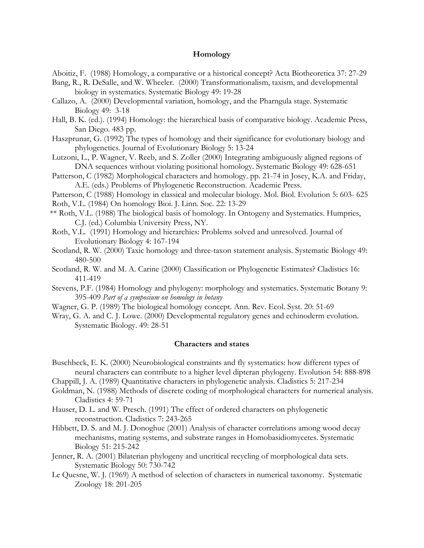## **Homology**

- Aboitiz, F. (1988) Homology, a comparative or a historical concept? Acta Biotheoretica 37: 27-29
- Bang, R., R. DeSalle, and W. Wheeler. (2000) Transformationalism, taxism, and developmental biology in systematics. Systematic Biology 49: 19-28
- Callazo, A. (2000) Developmental variation, homology, and the Pharngula stage. Systematic Biology 49: 3-18
- Hall, B. K. (ed.). (1994) Homology: the hierarchical basis of comparative biology. Academic Press, San Diego. 483 pp.
- Haszprunar, G. (1992) The types of homology and their significance for evolutionary biology and phylogenetics. Journal of Evolutionary Biology 5: 13-24
- Lutzoni, L., P. Wagner, V. Reeb, and S. Zoller (2000) Integrating ambiguously aligned regions of DNA sequences without violating positional homology. Systematic Biology 49: 628-651
- Patterson, C (1982) Morphological characters and homology. pp. 21-74 in Josey, K.A. and Friday, A.E. (eds.) Problems of Phylogenetic Reconstruction. Academic Press.
- Patterson, C (1988) Homology in classical and molecular biology. Mol. Biol. Evolution 5: 603- 625 Roth, V.L. (1984) On homology Bioi. J. Linn. Soc. 22: 13-29
- \*\* Roth, V.L. (1988) The biological basis of homology. In Ontogeny and Systematics. Humpries, C.J. (ed.) Columbia University Press, NY.
- Roth, V.L. (1991) Homology and hierarchies: Problems solved and unresolved. Journal of Evolutionary Biology 4: 167-194
- Scotland, R. W. (2000) Taxic homology and three-taxon statement analysis. Systematic Biology 49: 480-500
- Scotland, R. W. and M. A. Carine (2000) Classification or Phylogenetic Estimates? Cladistics 16: 411-419
- Stevens, P.F. (1984) Homology and phylogeny: morphology and systematics. Systematic Botany 9: 395-409 *Part of a symposium on homology in botany*
- Wagner, G. P. (1989) The biological homology concept. Ann. Rev. Ecol. Syst. 20: 51-69
- Wray, G. A. and C. J. Lowe. (2000) Developmental regulatory genes and echinoderm evolution. Systematic Biology. 49: 28-51

## **Characters and states**

- Buschbeck, E. K. (2000) Neurobiological constraints and fly systematics: how different types of neural characters can contribute to a higher level dipteran phylogeny. Evolution 54: 888-898
- Chappill, J. A. (1989) Quantitative characters in phylogenetic analysis. Cladistics 5: 217-234
- Goldman, N. (1988) Methods of discrete coding of morphological characters for numerical analysis. Cladistics 4: 59-71
- Hauser, D. L. and W. Presch. (1991) The effect of ordered characters on phylogenetic reconstruction. Cladistics 7: 243-265
- Hibbett, D. S. and M. J. Donoghue (2001) Analysis of character correlations among wood decay mechanisms, mating systems, and substrate ranges in Homobasidiomycetes. Systematic Biology 51: 215-242
- Jenner, R. A. (2001) Bilaterian phylogeny and uncritical recycling of morphological data sets. Systematic Biology 50: 730-742
- Le Quesne, W. J. (1969) A method of selection of characters in numerical taxonomy. Systematic Zoology 18: 201-205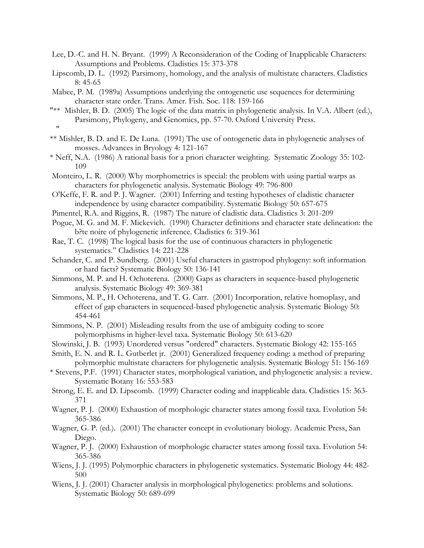- Lee, D.-C. and H. N. Bryant. (1999) A Reconsideration of the Coding of Inapplicable Characters: Assumptions and Problems. Cladistics 15: 373-378
- Lipscomb, D. L. (1992) Parsimony, homology, and the analysis of multistate characters. Cladistics 8: 45-65
- Mabee, P. M. (1989a) Assumptions underlying the ontogenetic use sequences for determining character state order. Trans. Amer. Fish. Soc. 118: 159-166
- "\*\* Mishler, B. D. (2005) The logic of the data matrix in phylogenetic analysis. In V.A. Albert (ed.), Parsimony, Phylogeny, and Genomics, pp. 57-70. Oxford University Press. "
- \*\* Mishler, B. D. and E. De Luna. (1991) The use of ontogenetic data in phylogenetic analyses of mosses. Advances in Bryology 4: 121-167
- \* Neff, N.A. (1986) A rational basis for a priori character weighting. Systematic Zoology 35: 102- 109
- Monteiro, L. R. (2000) Why morphometrics is special: the problem with using partial warps as characters for phylogenetic analysis. Systematic Biology 49: 796-800
- O'Keffe, F. R. and P. J. Wagner. (2001) Inferring and testing hypotheses of cladistic character independence by using character compatibility. Systematic Biology 50: 657-675
- Pimentel, R.A. and Riggins, R. (1987) The nature of cladistic data. Cladistics 3: 201-209
- Pogue, M. G. and M. F. Mickevich. (1990) Character definitions and character state delineation: the b?te noire of phylogenetic inference. Cladistics 6: 319-361
- Rae, T. C. (1998) The logical basis for the use of continuous characters in phylogenetic systematics." Cladistics 14: 221-228
- Schander, C. and P. Sundberg. (2001) Useful characters in gastropod phylogeny: soft information or hard facts? Systematic Biology 50: 136-141
- Simmons, M. P. and H. Ochoterena. (2000) Gaps as characters in sequence-based phylogenetic analysis. Systematic Biology 49: 369-381
- Simmons, M. P., H. Ochoterena, and T. G. Carr. (2001) Incorporation, relative homoplasy, and effect of gap characters in sequenced-based phylogenetic analysis. Systematic Biology 50: 454-461
- Simmons, N. P. (2001) Misleading results from the use of ambiguity coding to score polymorphisms in higher-level taxa. Systematic Biology 50: 613-620
- Slowinski, J. B. (1993) Unordered versus "ordered" characters. Systematic Biology 42: 155-165
- Smith, E. N. and R. L. Gutberlet jr. (2001) Generalized frequency coding: a method of preparing polymorphic multistate characters for phylogenetic analysis. Systematic Biology 51: 156-169
- \* Stevens, P.F. (1991) Character states, morphological variation, and phylogenetic analysis: a review. Systematic Botany 16: 553-583
- Strong, E. E. and D. Lipscomb. (1999) Character coding and inapplicable data. Cladistics 15: 363- 371
- Wagner, P. J. (2000) Exhaustion of morphologic character states among fossil taxa. Evolution 54: 365-386
- Wagner, G. P. (ed.). (2001) The character concept in evolutionary biology. Academic Press, San Diego.
- Wagner, P. J. (2000) Exhaustion of morphologic character states among fossil taxa. Evolution 54: 365-386
- Wiens, J. J. (1995) Polymorphic characters in phylogenetic systematics. Systematic Biology 44: 482- 500
- Wiens, J. J. (2001) Character analysis in morphological phylogenetics: problems and solutions. Systematic Biology 50: 689-699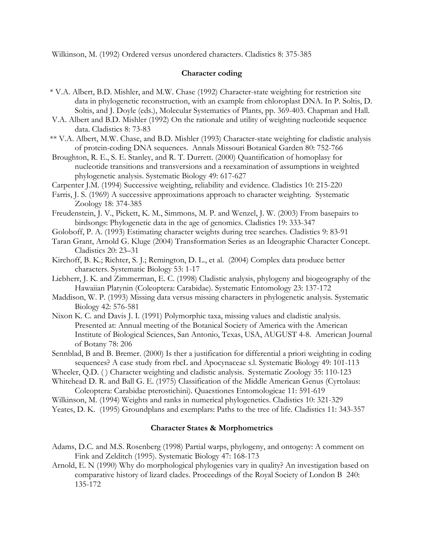Wilkinson, M. (1992) Ordered versus unordered characters. Cladistics 8: 375-385

# **Character coding**

- \* V.A. Albert, B.D. Mishler, and M.W. Chase (1992) Character-state weighting for restriction site data in phylogenetic reconstruction, with an example from chloroplast DNA. In P. Soltis, D. Soltis, and J. Doyle (eds.), Molecular Systematics of Plants, pp. 369-403. Chapman and Hall.
- V.A. Albert and B.D. Mishler (1992) On the rationale and utility of weighting nucleotide sequence data. Cladistics 8: 73-83
- \*\* V.A. Albert, M.W. Chase, and B.D. Mishler (1993) Character-state weighting for cladistic analysis of protein-coding DNA sequences. Annals Missouri Botanical Garden 80: 752-766
- Broughton, R. E., S. E. Stanley, and R. T. Durrett. (2000) Quantification of homoplasy for nucleotide transitions and transversions and a reexamination of assumptions in weighted phylogenetic analysis. Systematic Biology 49: 617-627
- Carpenter J.M. (1994) Successive weighting, reliability and evidence. Cladistics 10: 215-220
- Farris, J. S. (1969) A successive approximations approach to character weighting. Systematic Zoology 18: 374-385
- Freudenstein, J. V., Pickett, K. M., Simmons, M. P. and Wenzel, J. W. (2003) From basepairs to birdsongs: Phylogenetic data in the age of genomics. Cladistics 19: 333-347
- Goloboff, P. A. (1993) Estimating character weights during tree searches. Cladistics 9: 83-91
- Taran Grant, Arnold G. Kluge (2004) Transformation Series as an Ideographic Character Concept. Cladistics 20: 23–31
- Kirchoff, B. K.; Richter, S. J.; Remington, D. L., et al. (2004) Complex data produce better characters. Systematic Biology 53: 1-17
- Liebherr, J. K. and Zimmerman, E. C. (1998) Cladistic analysis, phylogeny and biogeography of the Hawaiian Platynin (Coleoptera: Carabidae). Systematic Entomology 23: 137-172
- Maddison, W. P. (1993) Missing data versus missing characters in phylogenetic analysis. Systematic Biology 42: 576-581
- Nixon K. C. and Davis J. I. (1991) Polymorphic taxa, missing values and cladistic analysis. Presented at: Annual meeting of the Botanical Society of America with the American Institute of Biological Sciences, San Antonio, Texas, USA, AUGUST 4-8. American Journal of Botany 78: 206
- Sennblad, B and B. Bremer. (2000) Is ther a justification for differential a priori weighting in coding sequences? A case study from rbcL and Apocynaceae s.l. Systematic Biology 49: 101-113
- Wheeler, Q.D. () Character weighting and cladistic analysis. Systematic Zoology 35: 110-123
- Whitehead D. R. and Ball G. E. (1975) Classification of the Middle American Genus (Cyrtolaus: Coleoptera: Carabidae pterostichini). Quaestiones Entomologicae 11: 591-619

Wilkinson, M. (1994) Weights and ranks in numerical phylogenetics. Cladistics 10: 321-329

Yeates, D. K. (1995) Groundplans and exemplars: Paths to the tree of life. Cladistics 11: 343-357

# **Character States & Morphometrics**

- Adams, D.C. and M.S. Rosenberg (1998) Partial warps, phylogeny, and ontogeny: A comment on Fink and Zelditch (1995). Systematic Biology 47: 168-173
- Arnold, E. N (1990) Why do morphological phylogenies vary in quality? An investigation based on comparative history of lizard clades. Proceedings of the Royal Society of London B 240: 135-172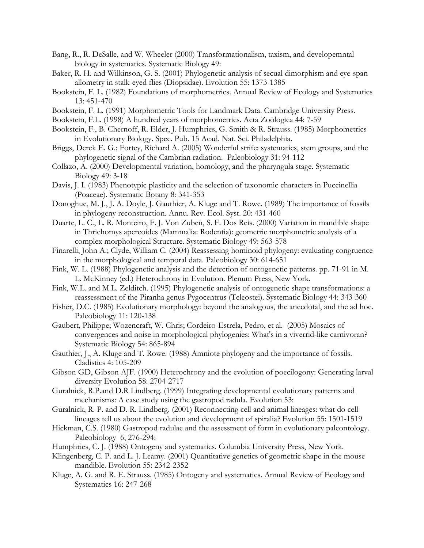- Bang, R., R. DeSalle, and W. Wheeler (2000) Transformationalism, taxism, and developemntal biology in systematics. Systematic Biology 49:
- Baker, R. H. and Wilkinson, G. S. (2001) Phylogenetic analysis of secual dimorphism and eye-span allometry in stalk-eyed flies (Diopsidae). Evolution 55: 1373-1385
- Bookstein, F. L. (1982) Foundations of morphometrics. Annual Review of Ecology and Systematics 13: 451-470
- Bookstein, F. L. (1991) Morphometric Tools for Landmark Data. Cambridge University Press.
- Bookstein, F.L. (1998) A hundred years of morphometrics. Acta Zoologica 44: 7-59
- Bookstein, F., B. Chernoff, R. Elder, J. Humphries, G. Smith & R. Strauss. (1985) Morphometrics in Evolutionary Biology. Spec. Pub. 15 Acad. Nat. Sci. Philadelphia.
- Briggs, Derek E. G.; Fortey, Richard A. (2005) Wonderful strife: systematics, stem groups, and the phylogenetic signal of the Cambrian radiation. Paleobiology 31: 94-112
- Collazo, A. (2000) Developmental variation, homology, and the pharyngula stage. Systematic Biology 49: 3-18
- Davis, J. I. (1983) Phenotypic plasticity and the selection of taxonomic characters in Puccinellia (Poaceae). Systematic Botany 8: 341-353
- Donoghue, M. J., J. A. Doyle, J. Gauthier, A. Kluge and T. Rowe. (1989) The importance of fossils in phylogeny reconstruction. Annu. Rev. Ecol. Syst. 20: 431-460
- Duarte, L. C., L. R. Monteiro, F. J. Von Zuben, S. F. Dos Reis. (2000) Variation in mandible shape in Thrichomys apereoides (Mammalia: Rodentia): geometric morphometric analysis of a complex morphological Structure. Systematic Biology 49: 563-578
- Finarelli, John A.; Clyde, William C. (2004) Reassessing hominoid phylogeny: evaluating congruence in the morphological and temporal data. Paleobiology 30: 614-651
- Fink, W. L. (1988) Phylogenetic analysis and the detection of ontogenetic patterns. pp. 71-91 in M. L. McKinney (ed.) Heterochrony in Evolution. Plenum Press, New York.
- Fink, W.L. and M.L. Zelditch. (1995) Phylogenetic analysis of ontogenetic shape transformations: a reassessment of the Piranha genus Pygocentrus (Teleostei). Systematic Biology 44: 343-360
- Fisher, D.C. (1985) Evolutionary morphology: beyond the analogous, the anecdotal, and the ad hoc. Paleobiology 11: 120-138
- Gaubert, Philippe; Wozencraft, W. Chris; Cordeiro-Estrela, Pedro, et al. (2005) Mosaics of convergences and noise in morphological phylogenies: What's in a viverrid-like carnivoran? Systematic Biology 54: 865-894
- Gauthier, J., A. Kluge and T. Rowe. (1988) Amniote phylogeny and the importance of fossils. Cladistics 4: 105-209
- Gibson GD, Gibson AJF. (1900) Heterochrony and the evolution of poecilogony: Generating larval diversity Evolution 58: 2704-2717
- Guralnick, R.P.and D.R Lindberg. (1999) Integrating developmental evolutionary patterns and mechanisms: A case study using the gastropod radula. Evolution 53:
- Guralnick, R. P. and D. R. Lindberg. (2001) Reconnecting cell and animal lineages: what do cell lineages tell us about the evolution and development of spiralia? Evolution 55: 1501-1519
- Hickman, C.S. (1980) Gastropod radulae and the assessment of form in evolutionary paleontology. Paleobiology 6, 276-294:
- Humphries, C. J. (1988) Ontogeny and systematics. Columbia University Press, New York.
- Klingenberg, C. P. and L. J. Leamy. (2001) Quantitative genetics of geometric shape in the mouse mandible. Evolution 55: 2342-2352
- Kluge, A. G. and R. E. Strauss. (1985) Ontogeny and systematics. Annual Review of Ecology and Systematics 16: 247-268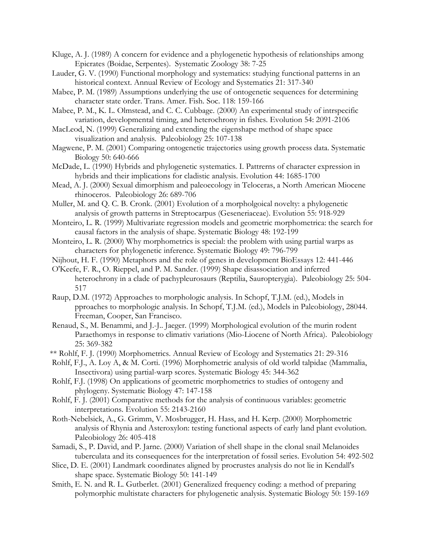Kluge, A. J. (1989) A concern for evidence and a phylogenetic hypothesis of relationships among Epicrates (Boidae, Serpentes). Systematic Zoology 38: 7-25

- Lauder, G. V. (1990) Functional morphology and systematics: studying functional patterns in an historical context. Annual Review of Ecology and Systematics 21: 317-340
- Mabee, P. M. (1989) Assumptions underlying the use of ontogenetic sequences for determining character state order. Trans. Amer. Fish. Soc. 118: 159-166
- Mabee, P. M., K. L. Olmstead, and C. C. Cubbage. (2000) An experimental study of intrspecific variation, developmental timing, and heterochrony in fishes. Evolution 54: 2091-2106
- MacLeod, N. (1999) Generalizing and extending the eigenshape method of shape space visualization and analysis. Paleobiology 25: 107-138
- Magwene, P. M. (2001) Comparing ontogenetic trajectories using growth process data. Systematic Biology 50: 640-666
- McDade, L. (1990) Hybrids and phylogenetic systematics. I. Pattrerns of character expression in hybrids and their implications for cladistic analysis. Evolution 44: 1685-1700
- Mead, A. J. (2000) Sexual dimorphism and paleoecology in Teloceras, a North American Miocene rhinoceros. Paleobiology 26: 689-706
- Muller, M. and Q. C. B. Cronk. (2001) Evolution of a morpholgoical novelty: a phylogenetic analysis of growth patterns in Streptocarpus (Geseneriaceae). Evolution 55: 918-929
- Monteiro, L. R. (1999) Multivariate regression models and geometric morphometrica: the search for causal factors in the analysis of shape. Systematic Biology 48: 192-199
- Monteiro, L. R. (2000) Why morphometrics is special: the problem with using partial warps as characters for phylogenetic inference. Systematic Biology 49: 796-799
- Nijhout, H. F. (1990) Metaphors and the role of genes in development BioEssays 12: 441-446
- O'Keefe, F. R., O. Rieppel, and P. M. Sander. (1999) Shape disassociation and inferred heterochrony in a clade of pachypleurosaurs (Reptilia, Sauropterygia). Paleobiology 25: 504- 517
- Raup, D.M. (1972) Approaches to morphologic analysis. In Schopf, T.J.M. (ed.), Models in pproaches to morphologic analysis. In Schopf, T.J.M. (ed.), Models in Paleobiology, 28044. Freeman, Cooper, San Francisco.
- Renaud, S., M. Benammi, and J.-J.. Jaeger. (1999) Morphological evolution of the murin rodent Paraethomys in response to climativ variations (Mio-Liocene of North Africa). Paleobiology 25: 369-382
- \*\* Rohlf, F. J. (1990) Morphometrics. Annual Review of Ecology and Systematics 21: 29-316
- Rohlf, F.J., A. Loy A, & M. Corti. (1996) Morphometric analysis of old world talpidae (Mammalia, Insectivora) using partial-warp scores. Systematic Biology 45: 344-362
- Rohlf, F.J. (1998) On applications of geometric morphometrics to studies of ontogeny and phylogeny. Systematic Biology 47: 147-158
- Rohlf, F. J. (2001) Comparative methods for the analysis of continuous variables: geometric interpretations. Evolution 55: 2143-2160
- Roth-Nebelsick, A., G. Grimm, V. Mosbrugger, H. Hass, and H. Kerp. (2000) Morphometric analysis of Rhynia and Asteroxylon: testing functional aspects of early land plant evolution. Paleobiology 26: 405-418
- Samadi, S., P. David, and P. Jarne. (2000) Variation of shell shape in the clonal snail Melanoides tuberculata and its consequences for the interpretation of fossil series. Evolution 54: 492-502
- Slice, D. E. (2001) Landmark coordinates aligned by procrustes analysis do not lie in Kendall's shape space. Systematic Biology 50: 141-149
- Smith, E. N. and R. L. Gutberlet. (2001) Generalized frequency coding: a method of preparing polymorphic multistate characters for phylogenetic analysis. Systematic Biology 50: 159-169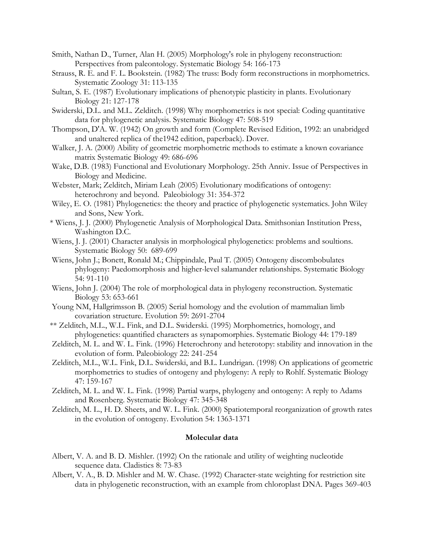- Smith, Nathan D., Turner, Alan H. (2005) Morphology's role in phylogeny reconstruction: Perspectives from paleontology. Systematic Biology 54: 166-173
- Strauss, R. E. and F. L. Bookstein. (1982) The truss: Body form reconstructions in morphometrics. Systematic Zoology 31: 113-135
- Sultan, S. E. (1987) Evolutionary implications of phenotypic plasticity in plants. Evolutionary Biology 21: 127-178
- Swiderski, D.L. and M.L. Zelditch. (1998) Why morphometrics is not special: Coding quantitative data for phylogenetic analysis. Systematic Biology 47: 508-519
- Thompson, D'A. W. (1942) On growth and form (Complete Revised Edition, 1992: an unabridged and unaltered replica of the1942 edition, paperback). Dover.
- Walker, J. A. (2000) Ability of geometric morphometric methods to estimate a known covariance matrix Systematic Biology 49: 686-696
- Wake, D.B. (1983) Functional and Evolutionary Morphology. 25th Anniv. Issue of Perspectives in Biology and Medicine.
- Webster, Mark; Zelditch, Miriam Leah (2005) Evolutionary modifications of ontogeny: heterochrony and beyond. Paleobiology 31: 354-372
- Wiley, E. O. (1981) Phylogenetics: the theory and practice of phylogenetic systematics. John Wiley and Sons, New York.
- \* Wiens, J. J. (2000) Phylogenetic Analysis of Morphological Data. Smithsonian Institution Press, Washington D.C.
- Wiens, J. J. (2001) Character analysis in morphological phylogenetics: problems and soultions. Systematic Biology 50: 689-699
- Wiens, John J.; Bonett, Ronald M.; Chippindale, Paul T. (2005) Ontogeny discombobulates phylogeny: Paedomorphosis and higher-level salamander relationships. Systematic Biology 54: 91-110
- Wiens, John J. (2004) The role of morphological data in phylogeny reconstruction. Systematic Biology 53: 653-661
- Young NM, Hallgrimsson B. (2005) Serial homology and the evolution of mammalian limb covariation structure. Evolution 59: 2691-2704
- \*\* Zelditch, M.L., W.L. Fink, and D.L. Swiderski. (1995) Morphometrics, homology, and phylogenetics: quantified characters as synapomorphies. Systematic Biology 44: 179-189
- Zelditch, M. L. and W. L. Fink. (1996) Heterochrony and heterotopy: stability and innovation in the evolution of form. Paleobiology 22: 241-254
- Zelditch, M.L., W.L. Fink, D.L. Swiderski, and B.L. Lundrigan. (1998) On applications of geometric morphometrics to studies of ontogeny and phylogeny: A reply to Rohlf. Systematic Biology 47: 159-167
- Zelditch, M. L. and W. L. Fink. (1998) Partial warps, phylogeny and ontogeny: A reply to Adams and Rosenberg. Systematic Biology 47: 345-348
- Zelditch, M. L., H. D. Sheets, and W. L. Fink. (2000) Spatiotemporal reorganization of growth rates in the evolution of ontogeny. Evolution 54: 1363-1371

# **Molecular data**

- Albert, V. A. and B. D. Mishler. (1992) On the rationale and utility of weighting nucleotide sequence data. Cladistics 8: 73-83
- Albert, V. A., B. D. Mishler and M. W. Chase. (1992) Character-state weighting for restriction site data in phylogenetic reconstruction, with an example from chloroplast DNA. Pages 369-403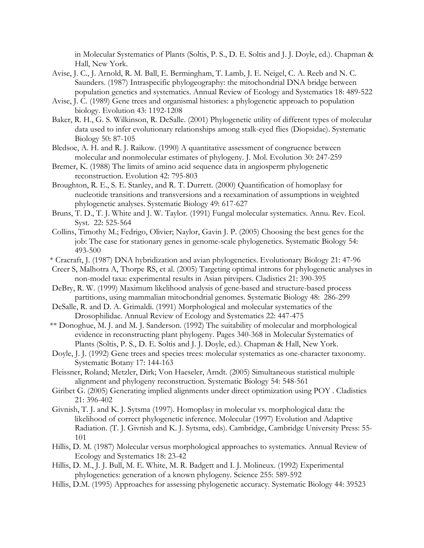in Molecular Systematics of Plants (Soltis, P. S., D. E. Soltis and J. J. Doyle, ed.). Chapman & Hall, New York.

- Avise, J. C., J. Arnold, R. M. Ball, E. Bermingham, T. Lamb, J. E. Neigel, C. A. Reeb and N. C. Saunders. (1987) Intraspecific phylogeography: the mitochondrial DNA bridge between population genetics and systematics. Annual Review of Ecology and Systematics 18: 489-522
- Avise, J. C. (1989) Gene trees and organismal histories: a phylogenetic approach to population biology. Evolution 43: 1192-1208
- Baker, R. H., G. S. Wilkinson, R. DeSalle. (2001) Phylogenetic utility of different types of molecular data used to infer evolutionary relationships among stalk-eyed flies (Diopsidae). Systematic Biology 50: 87-105
- Bledsoe, A. H. and R. J. Raikow. (1990) A quantitative assessment of congruence between molecular and nonmolecular estimates of phylogeny. J. Mol. Evolution 30: 247-259
- Bremer, K. (1988) The limits of amino acid sequence data in angiosperm phylogenetic reconstruction. Evolution 42: 795-803
- Broughton, R. E., S. E. Stanley, and R. T. Durrett. (2000) Quantification of homoplasy for nucleotide transitions and transversions and a reexamination of assumptions in weighted phylogenetic analyses. Systematic Biology 49: 617-627
- Bruns, T. D., T. J. White and J. W. Taylor. (1991) Fungal molecular systematics. Annu. Rev. Ecol. Syst. 22: 525-564
- Collins, Timothy M.; Fedrigo, Olivier; Naylor, Gavin J. P. (2005) Choosing the best genes for the job: The case for stationary genes in genome-scale phylogenetics. Systematic Biology 54: 493-500
- \* Cracraft, J. (1987) DNA hybridization and avian phylogenetics. Evolutionary Biology 21: 47-96
- Creer S, Malhotra A, Thorpe RS, et al. (2005) Targeting optimal introns for phylogenetic analyses in non-model taxa: experimental results in Asian pitvipers. Cladistics 21: 390-395
- DeBry, R. W. (1999) Maximum likelihood analysis of gene-based and structure-based process partitions, using mammalian mitochondrial genomes. Systematic Biology 48: 286-299
- DeSalle, R. and D. A. Grimaldi. (1991) Morphological and molecular systematics of the Drosophilidae. Annual Review of Ecology and Systematics 22: 447-475
- \*\* Donoghue, M. J. and M. J. Sanderson. (1992) The suitability of molecular and morphological evidence in reconstructing plant phylogeny. Pages 340-368 in Molecular Systematics of Plants (Soltis, P. S., D. E. Soltis and J. J. Doyle, ed.). Chapman & Hall, New York.
- Doyle, J. J. (1992) Gene trees and species trees: molecular systematics as one-character taxonomy. Systematic Botany 17: 144-163
- Fleissner, Roland; Metzler, Dirk; Von Haeseler, Arndt. (2005) Simultaneous statistical multiple alignment and phylogeny reconstruction. Systematic Biology 54: 548-561
- Giribet G. (2005) Generating implied alignments under direct optimization using POY . Cladistics 21: 396-402
- Givnish, T. J. and K. J. Sytsma (1997). Homoplasy in molecular vs. morphological data: the likelihood of correct phylogenetic inference. Molecular (1997) Evolution and Adaptive Radiation. (T. J. Givnish and K. J. Sytsma, eds). Cambridge, Cambridge University Press: 55- 101
- Hillis, D. M. (1987) Molecular versus morphological approaches to systematics. Annual Review of Ecology and Systematics 18: 23-42
- Hillis, D. M., J. J. Bull, M. E. White, M. R. Badgett and I. J. Molineux. (1992) Experimental phylogenetics: generation of a known phylogeny. Science 255: 589-592
- Hillis, D.M. (1995) Approaches for assessing phylogenetic accuracy. Systematic Biology 44: 39523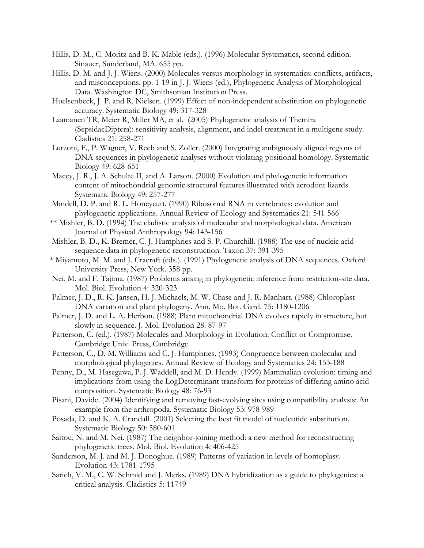- Hillis, D. M., C. Moritz and B. K. Mable (eds.). (1996) Molecular Systematics, second edition. Sinauer, Sunderland, MA. 655 pp.
- Hillis, D. M. and J. J. Wiens. (2000) Molecules versus morphology in systematics: conflicts, artifacts, and misconceptions. pp. 1-19 in J. J. Wiens (ed.), Phylogenetic Analysis of Morphological Data. Washington DC, Smithsonian Institution Press.
- Huelsenbeck, J. P. and R. Nielsen. (1999) Effect of non-independent substitution on phylogenetic accuracy. Systematic Biology 49: 317-328
- Laamanen TR, Meier R, Miller MA, et al. (2005) Phylogenetic analysis of Themira (SepsidaeDiptera): sensitivity analysis, alignment, and indel treatment in a multigene study. Cladistics 21: 258-271
- Lutzoni, F., P. Wagner, V. Reeb and S. Zoller. (2000) Integrating ambiguously aligned regions of DNA sequences in phylogenetic analyses without violating positional homology. Systematic Biology 49: 628-651
- Macey, J. R., J. A. Schulte II, and A. Larson. (2000) Evolution and phylogenetic information content of mitochondrial genomic structural features illustrated with acrodont lizards. Systematic Biology 49: 257-277
- Mindell, D. P. and R. L. Honeycutt. (1990) Ribosomal RNA in vertebrates: evolution and phylogenetic applications. Annual Review of Ecology and Systematics 21: 541-566
- \*\* Mishler, B. D. (1994) The cladistic analysis of molecular and morphological data. American Journal of Physical Anthropology 94: 143-156
- Mishler, B. D., K. Bremer, C. J. Humphries and S. P. Churchill. (1988) The use of nucleic acid sequence data in phylogenetic reconstruction. Taxon 37: 391-395
- \* Miyamoto, M. M. and J. Cracraft (eds.). (1991) Phylogenetic analysis of DNA sequences. Oxford University Press, New York. 358 pp.
- Nei, M. and F. Tajima. (1987) Problems arising in phylogenetic inference from restriction-site data. Mol. Biol. Evolution 4: 320-323
- Palmer, J. D., R. K. Jansen, H. J. Michaels, M. W. Chase and J. R. Manhart. (1988) Chloroplast DNA variation and plant phylogeny. Ann. Mo. Bot. Gard. 75: 1180-1206
- Palmer, J. D. and L. A. Herbon. (1988) Plant mitochondrial DNA evolves rapidly in structure, but slowly in sequence. J. Mol. Evolution 28: 87-97
- Patterson, C. (ed.). (1987) Molecules and Morphology in Evolution: Conflict or Compromise. Cambridge Univ. Press, Cambridge.
- Patterson, C., D. M. Williams and C. J. Humphries. (1993) Congruence between molecular and morphological phylogenies. Annual Review of Ecology and Systematics 24: 153-188
- Penny, D., M. Hasegawa, P. J. Waddell, and M. D. Hendy. (1999) Mammalian evolution: timing and implications from using the LogDeterminant transform for proteins of differing amino acid composition. Systematic Biology 48: 76-93
- Pisani, Davide. (2004) Identifying and removing fast-evolving sites using compatibility analysis: An example from the arthropoda. Systematic Biology 53: 978-989
- Posada, D. and K. A. Crandall. (2001) Selecting the best fit model of nucleotide substitution. Systematic Biology 50: 580-601
- Saitou, N. and M. Nei. (1987) The neighbor-joining method: a new method for reconstructing phylogenetic trees. Mol. Biol. Evolution 4: 406-425
- Sanderson, M. J. and M. J. Donoghue. (1989) Patterns of variation in levels of homoplasy. Evolution 43: 1781-1795
- Sarich, V. M., C. W. Schmid and J. Marks. (1989) DNA hybridization as a guide to phylogenies: a critical analysis. Cladistics 5: 11749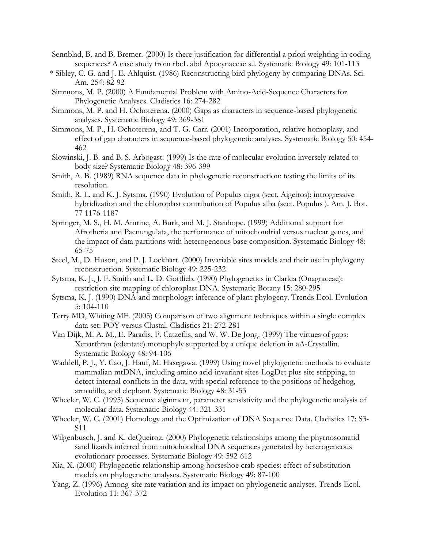- Sennblad, B. and B. Bremer. (2000) Is there justification for differential a priori weighting in coding sequences? A case study from rbcL abd Apocynaceae s.l. Systematic Biology 49: 101-113
- \* Sibley, C. G. and J. E. Ahlquist. (1986) Reconstructing bird phylogeny by comparing DNAs. Sci. Am. 254: 82-92
- Simmons, M. P. (2000) A Fundamental Problem with Amino-Acid-Sequence Characters for Phylogenetic Analyses. Cladistics 16: 274-282
- Simmons, M. P. and H. Ochoterena. (2000) Gaps as characters in sequence-based phylogenetic analyses. Systematic Biology 49: 369-381
- Simmons, M. P., H. Ochoterena, and T. G. Carr. (2001) Incorporation, relative homoplasy, and effect of gap characters in sequence-based phylogenetic analyses. Systematic Biology 50: 454- 462
- Slowinski, J. B. and B. S. Arbogast. (1999) Is the rate of molecular evolution inversely related to body size? Systematic Biology 48: 396-399
- Smith, A. B. (1989) RNA sequence data in phylogenetic reconstruction: testing the limits of its resolution.
- Smith, R. L. and K. J. Sytsma. (1990) Evolution of Populus nigra (sect. Aigeiros): introgressive hybridization and the chloroplast contribution of Populus alba (sect. Populus ). Am. J. Bot. 77 1176-1187
- Springer, M. S., H. M. Amrine, A. Burk, and M. J. Stanhope. (1999) Additional support for Afrotheria and Paenungulata, the performance of mitochondrial versus nuclear genes, and the impact of data partitions with heterogeneous base composition. Systematic Biology 48: 65-75
- Steel, M., D. Huson, and P. J. Lockhart. (2000) Invariable sites models and their use in phylogeny reconstruction. Systematic Biology 49: 225-232
- Sytsma, K. J., J. F. Smith and L. D. Gottlieb. (1990) Phylogenetics in Clarkia (Onagraceae): restriction site mapping of chloroplast DNA. Systematic Botany 15: 280-295
- Sytsma, K. J. (1990) DNA and morphology: inference of plant phylogeny. Trends Ecol. Evolution 5: 104-110
- Terry MD, Whiting MF. (2005) Comparison of two alignment techniques within a single complex data set: POY versus Clustal. Cladistics 21: 272-281
- Van Dijk, M. A. M., E. Paradis, F. Catzeflis, and W. W. De Jong. (1999) The virtues of gaps: Xenarthran (edentate) monophyly supported by a unique deletion in aA-Crystallin. Systematic Biology 48: 94-106
- Waddell, P. J., Y. Cao, J. Hauf, M. Hasegawa. (1999) Using novel phylogenetic methods to evaluate mammalian mtDNA, including amino acid-invariant sites-LogDet plus site stripping, to detect internal conflicts in the data, with special reference to the positions of hedgehog, armadillo, and elephant. Systematic Biology 48: 31-53
- Wheeler, W. C. (1995) Sequence alginment, parameter sensistivity and the phylogenetic analysis of molecular data. Systematic Biology 44: 321-331
- Wheeler, W. C. (2001) Homology and the Optimization of DNA Sequence Data. Cladistics 17: S3- S11
- Wilgenbusch, J. and K. deQueiroz. (2000) Phylogenetic relationships among the phyrnosomatid sand lizards inferred from mitochondrial DNA sequences generated by heterogeneous evolutionary processes. Systematic Biology 49: 592-612
- Xia, X. (2000) Phylogenetic relationship among horseshoe crab species: effect of substitution models on phylogenetic analyses. Systematic Biology 49: 87-100
- Yang, Z. (1996) Among-site rate variation and its impact on phylogenetic analyses. Trends Ecol. Evolution 11: 367-372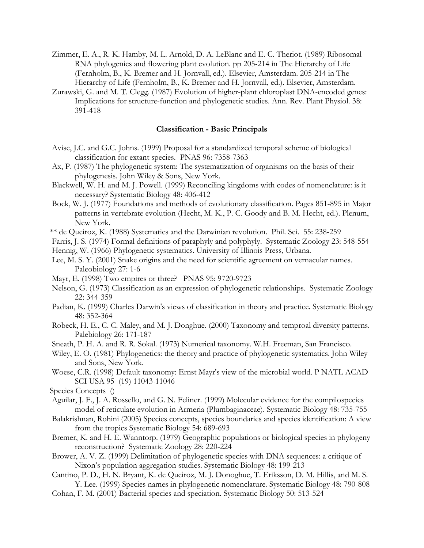- Zimmer, E. A., R. K. Hamby, M. L. Arnold, D. A. LeBlanc and E. C. Theriot. (1989) Ribosomal RNA phylogenies and flowering plant evolution. pp 205-214 in The Hierarchy of Life (Fernholm, B., K. Bremer and H. Jornvall, ed.). Elsevier, Amsterdam. 205-214 in The Hierarchy of Life (Fernholm, B., K. Bremer and H. Jornvall, ed.). Elsevier, Amsterdam.
- Zurawski, G. and M. T. Clegg. (1987) Evolution of higher-plant chloroplast DNA-encoded genes: Implications for structure-function and phylogenetic studies. Ann. Rev. Plant Physiol. 38: 391-418

#### **Classification - Basic Principals**

- Avise, J.C. and G.C. Johns. (1999) Proposal for a standardized temporal scheme of biological classification for extant species. PNAS 96: 7358-7363
- Ax, P. (1987) The phylogenetic system: The systematization of organisms on the basis of their phylogenesis. John Wiley & Sons, New York.
- Blackwell, W. H. and M. J. Powell. (1999) Reconciling kingdoms with codes of nomenclature: is it necessary? Systematic Biology 48: 406-412
- Bock, W. J. (1977) Foundations and methods of evolutionary classification. Pages 851-895 in Major patterns in vertebrate evolution (Hecht, M. K., P. C. Goody and B. M. Hecht, ed.). Plenum, New York.
- \*\* de Queiroz, K. (1988) Systematics and the Darwinian revolution. Phil. Sci. 55: 238-259

Farris, J. S. (1974) Formal definitions of paraphyly and polyphyly. Systematic Zoology 23: 548-554

Hennig, W. (1966) Phylogenetic systematics. University of Illinois Press, Urbana.

- Lee, M. S. Y. (2001) Snake origins and the need for scientific agreement on vernacular names. Paleobiology 27: 1-6
- Mayr, E. (1998) Two empires or three? PNAS 95: 9720-9723
- Nelson, G. (1973) Classification as an expression of phylogenetic relationships. Systematic Zoology 22: 344-359
- Padian, K. (1999) Charles Darwin's views of classification in theory and practice. Systematic Biology 48: 352-364
- Robeck, H. E., C. C. Maley, and M. J. Donghue. (2000) Taxonomy and temproal diversity patterns. Palebiology 26: 171-187
- Sneath, P. H. A. and R. R. Sokal. (1973) Numerical taxonomy. W.H. Freeman, San Francisco.
- Wiley, E. O. (1981) Phylogenetics: the theory and practice of phylogenetic systematics. John Wiley and Sons, New York.
- Woese, C.R. (1998) Default taxonomy: Ernst Mayr's view of the microbial world. P NATL ACAD SCI USA 95 (19) 11043-11046
- Species Concepts ()
- Aguilar, J. F., J. A. Rossello, and G. N. Feliner. (1999) Molecular evidence for the compilospecies model of reticulate evolution in Armeria (Plumbaginaceae). Systematic Biology 48: 735-755
- Balakrishnan, Rohini (2005) Species concepts, species boundaries and species identification: A view from the tropics Systematic Biology 54: 689-693
- Bremer, K. and H. E. Wanntorp. (1979) Geographic populations or biological species in phylogeny reconstruction? Systematic Zoology 28: 220-224
- Brower, A. V. Z. (1999) Delimitation of phylogenetic species with DNA sequences: a critique of Nixon's population aggregation studies. Systematic Biology 48: 199-213

 Cantino, P. D., H. N. Bryant, K. de Queiroz, M. J. Donoghue, T. Eriksson, D. M. Hillis, and M. S. Y. Lee. (1999) Species names in phylogenetic nomenclature. Systematic Biology 48: 790-808

Cohan, F. M. (2001) Bacterial species and speciation. Systematic Biology 50: 513-524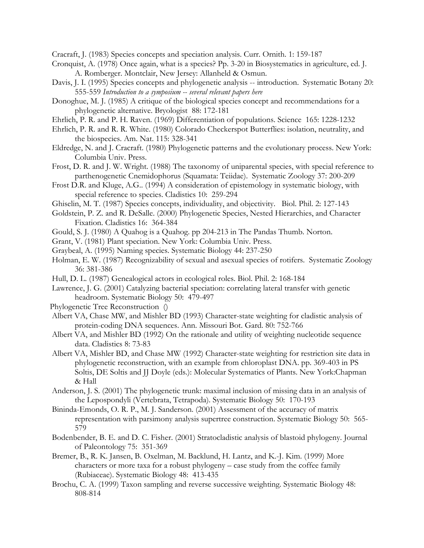Cracraft, J. (1983) Species concepts and speciation analysis. Curr. Ornith. 1: 159-187

 Cronquist, A. (1978) Once again, what is a species? Pp. 3-20 in Biosystematics in agriculture, ed. J. A. Romberger. Montclair, New Jersey: Allanheld & Osmun.

- Davis, J. I. (1995) Species concepts and phylogenetic analysis -- introduction. Systematic Botany 20: 555-559 *Introduction to a symposium -- several relevant papers here*
- Donoghue, M. J. (1985) A critique of the biological species concept and recommendations for a phylogenetic alternative. Bryologist 88: 172-181
- Ehrlich, P. R. and P. H. Raven. (1969) Differentiation of populations. Science 165: 1228-1232
- Ehrlich, P. R. and R. R. White. (1980) Colorado Checkerspot Butterflies: isolation, neutrality, and the biospecies. Am. Nat. 115: 328-341
- Eldredge, N. and J. Cracraft. (1980) Phylogenetic patterns and the evolutionary process. New York: Columbia Univ. Press.
- Frost, D. R. and J. W. Wright. (1988) The taxonomy of uniparental species, with special reference to parthenogenetic Cnemidophorus (Squamata: Teiidae). Systematic Zoology 37: 200-209
- Frost D.R. and Kluge, A.G.. (1994) A consideration of epistemology in systematic biology, with special reference to species. Cladistics 10: 259-294
- Ghiselin, M. T. (1987) Species concepts, individuality, and objectivity. Biol. Phil. 2: 127-143
- Goldstein, P. Z. and R. DeSalle. (2000) Phylogenetic Species, Nested Hierarchies, and Character Fixation. Cladistics 16: 364-384
- Gould, S. J. (1980) A Quahog is a Quahog. pp 204-213 in The Pandas Thumb. Norton.
- Grant, V. (1981) Plant speciation. New York: Columbia Univ. Press.
- Graybeal, A. (1995) Naming species. Systematic Biology 44: 237-250
- Holman, E. W. (1987) Recognizability of sexual and asexual species of rotifers. Systematic Zoology 36: 381-386
- Hull, D. L. (1987) Genealogical actors in ecological roles. Biol. Phil. 2: 168-184
- Lawrence, J. G. (2001) Catalyzing bacterial speciation: correlating lateral transfer with genetic headroom. Systematic Biology 50: 479-497
- Phylogenetic Tree Reconstruction ()
- Albert VA, Chase MW, and Mishler BD (1993) Character-state weighting for cladistic analysis of protein-coding DNA sequences. Ann. Missouri Bot. Gard. 80: 752-766
- Albert VA, and Mishler BD (1992) On the rationale and utility of weighting nucleotide sequence data. Cladistics 8: 73-83
- Albert VA, Mishler BD, and Chase MW (1992) Character-state weighting for restriction site data in phylogenetic reconstruction, with an example from chloroplast DNA. pp. 369-403 in PS Soltis, DE Soltis and JJ Doyle (eds.): Molecular Systematics of Plants. New York:Chapman & Hall
- Anderson, J. S. (2001) The phylogenetic trunk: maximal inclusion of missing data in an analysis of the Lepospondyli (Vertebrata, Tetrapoda). Systematic Biology 50: 170-193
- Bininda-Emonds, O. R. P., M. J. Sanderson. (2001) Assessment of the accuracy of matrix representation with parsimony analysis supertree construction. Systematic Biology 50: 565- 579
- Bodenbender, B. E. and D. C. Fisher. (2001) Stratocladistic analysis of blastoid phylogeny. Journal of Paleontology 75: 351-369
- Bremer, B., R. K. Jansen, B. Oxelman, M. Backlund, H. Lantz, and K.-J. Kim. (1999) More characters or more taxa for a robust phylogeny – case study from the coffee family (Rubiaceae). Systematic Biology 48: 413-435
- Brochu, C. A. (1999) Taxon sampling and reverse successive weighting. Systematic Biology 48: 808-814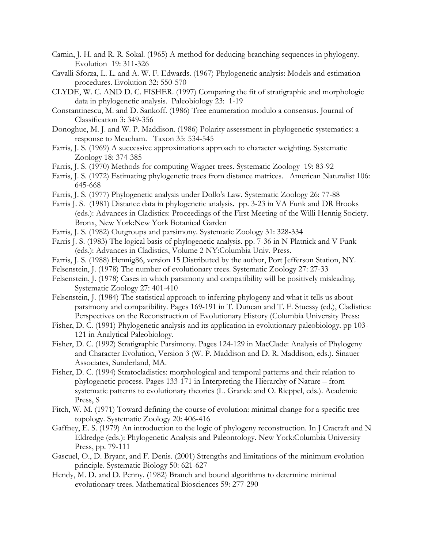- Camin, J. H. and R. R. Sokal. (1965) A method for deducing branching sequences in phylogeny. Evolution 19: 311-326
- Cavalli-Sforza, L. L. and A. W. F. Edwards. (1967) Phylogenetic analysis: Models and estimation procedures. Evolution 32: 550-570
- CLYDE, W. C. AND D. C. FISHER. (1997) Comparing the fit of stratigraphic and morphologic data in phylogenetic analysis. Paleobiology 23: 1-19
- Constantinescu, M. and D. Sankoff. (1986) Tree enumeration modulo a consensus. Journal of Classification 3: 349-356
- Donoghue, M. J. and W. P. Maddison. (1986) Polarity assessment in phylogenetic systematics: a response to Meacham. Taxon 35: 534-545
- Farris, J. S. (1969) A successive approximations approach to character weighting. Systematic Zoology 18: 374-385
- Farris, J. S. (1970) Methods for computing Wagner trees. Systematic Zoology 19: 83-92
- Farris, J. S. (1972) Estimating phylogenetic trees from distance matrices. American Naturalist 106: 645-668
- Farris, J. S. (1977) Phylogenetic analysis under Dollo's Law. Systematic Zoology 26: 77-88
- Farris J. S. (1981) Distance data in phylogenetic analysis. pp. 3-23 in VA Funk and DR Brooks (eds.): Advances in Cladistics: Proceedings of the First Meeting of the Willi Hennig Society. Bronx, New York:New York Botanical Garden
- Farris, J. S. (1982) Outgroups and parsimony. Systematic Zoology 31: 328-334
- Farris J. S. (1983) The logical basis of phylogenetic analysis. pp. 7-36 in N Platnick and V Funk (eds.): Advances in Cladistics, Volume 2 NY:Columbia Univ. Press.
- Farris, J. S. (1988) Hennig86, version 15 Distributed by the author, Port Jefferson Station, NY.
- Felsenstein, J. (1978) The number of evolutionary trees. Systematic Zoology 27: 27-33
- Felsenstein, J. (1978) Cases in which parsimony and compatibility will be positively misleading. Systematic Zoology 27: 401-410
- Felsenstein, J. (1984) The statistical approach to inferring phylogeny and what it tells us about parsimony and compatibility. Pages 169-191 in T. Duncan and T. F. Stuessy (ed.), Cladistics: Perspectives on the Reconstruction of Evolutionary History (Columbia University Press:
- Fisher, D. C. (1991) Phylogenetic analysis and its application in evolutionary paleobiology. pp 103- 121 in Analytical Paleobiology.
- Fisher, D. C. (1992) Stratigraphic Parsimony. Pages 124-129 in MacClade: Analysis of Phylogeny and Character Evolution, Version 3 (W. P. Maddison and D. R. Maddison, eds.). Sinauer Associates, Sunderland, MA.
- Fisher, D. C. (1994) Stratocladistics: morphological and temporal patterns and their relation to phylogenetic process. Pages 133-171 in Interpreting the Hierarchy of Nature – from systematic patterns to evolutionary theories (L. Grande and O. Rieppel, eds.). Academic Press, S
- Fitch, W. M. (1971) Toward defining the course of evolution: minimal change for a specific tree topology. Systematic Zoology 20: 406-416
- Gaffney, E. S. (1979) An introduction to the logic of phylogeny reconstruction. In J Cracraft and N Eldredge (eds.): Phylogenetic Analysis and Paleontology. New York:Columbia University Press, pp. 79-111
- Gascuel, O., D. Bryant, and F. Denis. (2001) Strengths and limitations of the minimum evolution principle. Systematic Biology 50: 621-627
- Hendy, M. D. and D. Penny. (1982) Branch and bound algorithms to determine minimal evolutionary trees. Mathematical Biosciences 59: 277-290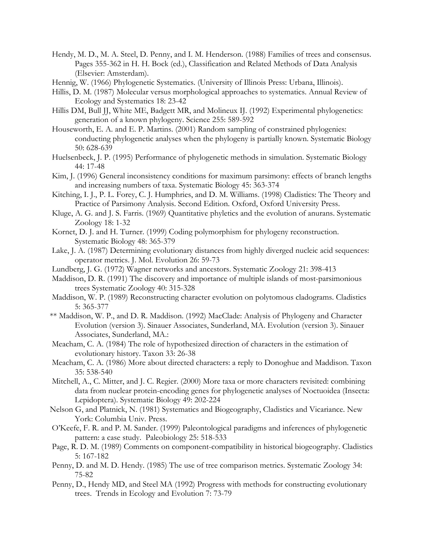- Hendy, M. D., M. A. Steel, D. Penny, and I. M. Henderson. (1988) Families of trees and consensus. Pages 355-362 in H. H. Bock (ed.), Classification and Related Methods of Data Analysis (Elsevier: Amsterdam).
- Hennig, W. (1966) Phylogenetic Systematics. (University of Illinois Press: Urbana, Illinois).
- Hillis, D. M. (1987) Molecular versus morphological approaches to systematics. Annual Review of Ecology and Systematics 18: 23-42
- Hillis DM, Bull JJ, White ME, Badgett MR, and Molineux IJ. (1992) Experimental phylogenetics: generation of a known phylogeny. Science 255: 589-592
- Houseworth, E. A. and E. P. Martins. (2001) Random sampling of constrained phylogenies: conducting phylogenetic analyses when the phylogeny is partially known. Systematic Biology 50: 628-639
- Huelsenbeck, J. P. (1995) Performance of phylogenetic methods in simulation. Systematic Biology 44: 17-48
- Kim, J. (1996) General inconsistency conditions for maximum parsimony: effects of branch lengths and increasing numbers of taxa. Systematic Biology 45: 363-374
- Kitching, I. J., P. L. Forey, C. J. Humphries, and D. M. Williams. (1998) Cladistics: The Theory and Practice of Parsimony Analysis. Second Edition. Oxford, Oxford University Press.
- Kluge, A. G. and J. S. Farris. (1969) Quantitative phyletics and the evolution of anurans. Systematic Zoology 18: 1-32
- Kornet, D. J. and H. Turner. (1999) Coding polymorphism for phylogeny reconstruction. Systematic Biology 48: 365-379
- Lake, J. A. (1987) Determining evolutionary distances from highly diverged nucleic acid sequences: operator metrics. J. Mol. Evolution 26: 59-73
- Lundberg, J. G. (1972) Wagner networks and ancestors. Systematic Zoology 21: 398-413
- Maddison, D. R. (1991) The discovery and importance of multiple islands of most-parsimonious trees Systematic Zoology 40: 315-328
- Maddison, W. P. (1989) Reconstructing character evolution on polytomous cladograms. Cladistics 5: 365-377
- \*\* Maddison, W. P., and D. R. Maddison. (1992) MacClade: Analysis of Phylogeny and Character Evolution (version 3). Sinauer Associates, Sunderland, MA. Evolution (version 3). Sinauer Associates, Sunderland, MA.:
- Meacham, C. A. (1984) The role of hypothesized direction of characters in the estimation of evolutionary history. Taxon 33: 26-38
- Meacham, C. A. (1986) More about directed characters: a reply to Donoghue and Maddison. Taxon 35: 538-540
- Mitchell, A., C. Mitter, and J. C. Regier. (2000) More taxa or more characters revisited: combining data from nuclear protein-encoding genes for phylogenetic analyses of Noctuoidea (Insecta: Lepidoptera). Systematic Biology 49: 202-224
- Nelson G, and Platnick, N. (1981) Systematics and Biogeography, Cladistics and Vicariance. New York: Columbia Univ. Press.
- O'Keefe, F. R. and P. M. Sander. (1999) Paleontological paradigms and inferences of phylogenetic pattern: a case study. Paleobiology 25: 518-533
- Page, R. D. M. (1989) Comments on component-compatibility in historical biogeography. Cladistics 5: 167-182
- Penny, D. and M. D. Hendy. (1985) The use of tree comparison metrics. Systematic Zoology 34: 75-82
- Penny, D., Hendy MD, and Steel MA (1992) Progress with methods for constructing evolutionary trees. Trends in Ecology and Evolution 7: 73-79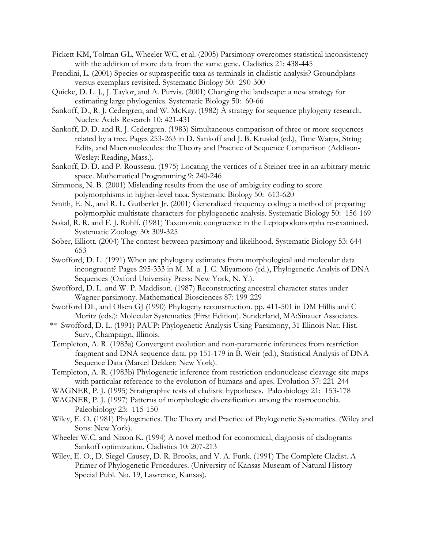- Pickett KM, Tolman GL, Wheeler WC, et al. (2005) Parsimony overcomes statistical inconsistency with the addition of more data from the same gene. Cladistics 21: 438-445
- Prendini, L. (2001) Species or supraspecific taxa as terminals in cladistic analysis? Groundplans versus exemplars revisited. Systematic Biology 50: 290-300
- Quicke, D. L. J., J. Taylor, and A. Purvis. (2001) Changing the landscape: a new strategy for estimating large phylogenies. Systematic Biology 50: 60-66
- Sankoff, D., R. J. Cedergren, and W. McKay. (1982) A strategy for sequence phylogeny research. Nucleic Acids Research 10: 421-431
- Sankoff, D. D. and R. J. Cedergren. (1983) Simultaneous comparison of three or more sequences related by a tree. Pages 253-263 in D. Sankoff and J. B. Kruskal (ed.), Time Warps, String Edits, and Macromolecules: the Theory and Practice of Sequence Comparison (Addison-Wesley: Reading, Mass.).
- Sankoff, D. D. and P. Rousseau. (1975) Locating the vertices of a Steiner tree in an arbitrary metric space. Mathematical Programming 9: 240-246
- Simmons, N. B. (2001) Misleading results from the use of ambiguity coding to score polymorphisms in higher-level taxa. Systematic Biology 50: 613-620
- Smith, E. N., and R. L. Gutberlet Jr. (2001) Generalized frequency coding: a method of preparing polymorphic multistate characters for phylogenetic analysis. Systematic Biology 50: 156-169
- Sokal, R. R. and F. J. Rohlf. (1981) Taxonomic congruence in the Leptopodomorpha re-examined. Systematic Zoology 30: 309-325
- Sober, Elliott. (2004) The contest between parsimony and likelihood. Systematic Biology 53: 644- 653
- Swofford, D. L. (1991) When are phylogeny estimates from morphological and molecular data incongruent? Pages 295-333 in M. M. a. J. C. Miyamoto (ed.), Phylogenetic Analyis of DNA Sequences (Oxford University Press: New York, N. Y.).
- Swofford, D. L. and W. P. Maddison. (1987) Reconstructing ancestral character states under Wagner parsimony. Mathematical Biosciences 87: 199-229
- Swofford DL, and Olsen GJ (1990) Phylogeny reconstruction. pp. 411-501 in DM Hillis and C Moritz (eds.): Molecular Systematics (First Edition). Sunderland, MA:Sinauer Associates.
- \*\* Swofford, D. L. (1991) PAUP: Phylogenetic Analysis Using Parsimony, 31 Illinois Nat. Hist. Surv., Champaign, Illinois.
- Templeton, A. R. (1983a) Convergent evolution and non-parametric inferences from restriction fragment and DNA sequence data. pp 151-179 in B. Weir (ed.), Statistical Analysis of DNA Sequence Data (Marcel Dekker: New York).
- Templeton, A. R. (1983b) Phylogenetic inference from restriction endonuclease cleavage site maps with particular reference to the evolution of humans and apes. Evolution 37: 221-244
- WAGNER, P. J. (1995) Stratigraphic tests of cladistic hypotheses. Paleobiology 21: 153-178
- WAGNER, P. J. (1997) Patterns of morphologic diversification among the rostroconchia. Paleobiology 23: 115-150
- Wiley, E. O. (1981) Phylogenetics. The Theory and Practice of Phylogenetic Systematics. (Wiley and Sons: New York).
- Wheeler W.C. and Nixon K. (1994) A novel method for economical, diagnosis of cladograms Sankoff optimization. Cladistics 10: 207-213
- Wiley, E. O., D. Siegel-Causey, D. R. Brooks, and V. A. Funk. (1991) The Complete Cladist. A Primer of Phylogenetic Procedures. (University of Kansas Museum of Natural History Special Publ. No. 19, Lawrence, Kansas).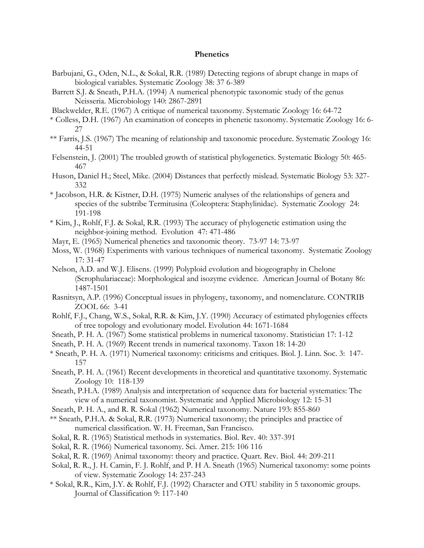## **Phenetics**

- Barbujani, G., Oden, N.L., & Sokal, R.R. (1989) Detecting regions of abrupt change in maps of biological variables. Systematic Zoology 38: 37 6-389
- Barrett S.J. & Sneath, P.H.A. (1994) A numerical phenotypic taxonomic study of the genus Neisseria. Microbiology 140: 2867-2891
- Blackwelder, R.E. (1967) A critique of numerical taxonomy. Systematic Zoology 16: 64-72
- \* Colless, D.H. (1967) An examination of concepts in phenetic taxonomy. Systematic Zoology 16: 6- 27
- \*\* Farris, J.S. (1967) The meaning of relationship and taxonomic procedure. Systematic Zoology 16: 44-51
- Felsenstein, J. (2001) The troubled growth of statistical phylogenetics. Systematic Biology 50: 465- 467
- Huson, Daniel H.; Steel, Mike. (2004) Distances that perfectly mislead. Systematic Biology 53: 327- 332
- \* Jacobson, H.R. & Kistner, D.H. (1975) Numeric analyses of the relationships of genera and species of the subtribe Termitusina (Coleoptera: Staphylinidae). Systematic Zoology 24: 191-198
- \* Kim, J., Rohlf, F.J. & Sokal, R.R. (1993) The accuracy of phylogenetic estimation using the neighbor-joining method. Evolution 47: 471-486
- Mayr, E. (1965) Numerical phenetics and taxonomic theory. 73-97 14: 73-97
- Moss, W. (1968) Experiments with various techniques of numerical taxonomy. Systematic Zoology 17: 31-47
- Nelson, A.D. and W.J. Elisens. (1999) Polyploid evolution and biogeography in Chelone (Scrophulariaceae): Morphological and isozyme evidence. American Journal of Botany 86: 1487-1501
- Rasnitsyn, A.P. (1996) Conceptual issues in phylogeny, taxonomy, and nomenclature. CONTRIB ZOOL 66: 3-41
- Rohlf, F.J., Chang, W.S., Sokal, R.R. & Kim, J.Y. (1990) Accuracy of estimated phylogenies effects of tree topology and evolutionary model. Evolution 44: 1671-1684
- Sneath, P. H. A. (1967) Some statistical problems in numerical taxonomy. Statistician 17: 1-12
- Sneath, P. H. A. (1969) Recent trends in numerical taxonomy. Taxon 18: 14-20
- \* Sneath, P. H. A. (1971) Numerical taxonomy: criticisms and critiques. Biol. J. Linn. Soc. 3: 147- 157
- Sneath, P. H. A. (1961) Recent developments in theoretical and quantitative taxonomy. Systematic Zoology 10: 118-139
- Sneath, P.H.A. (1989) Analysis and interpretation of sequence data for bacterial systematics: The view of a numerical taxonomist. Systematic and Applied Microbiology 12: 15-31
- Sneath, P. H. A., and R. R. Sokal (1962) Numerical taxonomy. Nature 193: 855-860
- \*\* Sneath, P.H.A. & Sokal, R.R. (1973) Numerical taxonomy; the principles and practice of numerical classification. W. H. Freeman, San Francisco.
- Sokal, R. R. (1965) Statistical methods in systematics. Biol. Rev. 40: 337-391
- Sokal, R. R. (1966) Numerical taxonomy. Sci. Amer. 215: 106 116
- Sokal, R. R. (1969) Animal taxonomy: theory and practice. Quart. Rev. Biol. 44: 209-211
- Sokal, R. R., J. H. Camin, F. J. Rohlf, and P. H A. Sneath (1965) Numerical taxonomy: some points of view. Systematic Zoology 14: 237-243
- \* Sokal, R.R., Kim, J.Y. & Rohlf, F.J. (1992) Character and OTU stability in 5 taxonomic groups. Journal of Classification 9: 117-140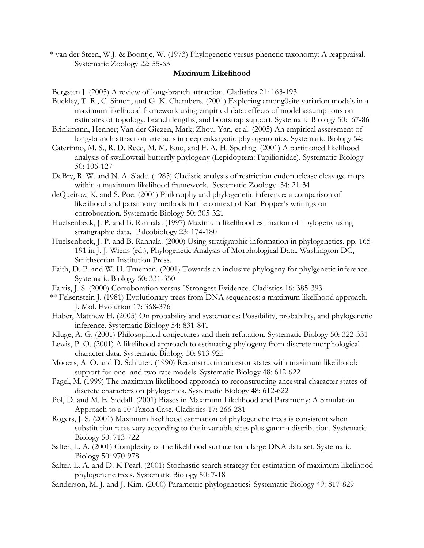\* van der Steen, W.J. & Boontje, W. (1973) Phylogenetic versus phenetic taxonomy: A reappraisal. Systematic Zoology 22: 55-63

## **Maximum Likelihood**

Bergsten J. (2005) A review of long-branch attraction. Cladistics 21: 163-193

- Buckley, T. R., C. Simon, and G. K. Chambers. (2001) Exploring among0site variation models in a maximum likelihood framework using empirical data: effects of model assumptions on estimates of topology, branch lengths, and bootstrap support. Systematic Biology 50: 67-86
- Brinkmann, Henner; Van der Giezen, Mark; Zhou, Yan, et al. (2005) An empirical assessment of long-branch attraction artefacts in deep eukaryotic phylogenomics. Systematic Biology 54:
- Caterinno, M. S., R. D. Reed, M. M. Kuo, and F. A. H. Sperling. (2001) A partitioned likelihood analysis of swallowtail butterfly phylogeny (Lepidoptera: Papilionidae). Systematic Biology 50: 106-127
- DeBry, R. W. and N. A. Slade. (1985) Cladistic analysis of restriction endonuclease cleavage maps within a maximum-likelihood framework. Systematic Zoology 34: 21-34
- deQueiroz, K. and S. Poe. (2001) Philosophy and phylogenetic inference: a comparison of likelihood and parsimony methods in the context of Karl Popper's writings on corroboration. Systematic Biology 50: 305-321
- Huelsenbeck, J. P. and B. Rannala. (1997) Maximum likelihood estimation of hpylogeny using stratigraphic data. Paleobiology 23: 174-180
- Huelsenbeck, J. P. and B. Rannala. (2000) Using stratigraphic information in phylogenetics. pp. 165- 191 in J. J. Wiens (ed.), Phylogenetic Analysis of Morphological Data. Washington DC, Smithsonian Institution Press.
- Faith, D. P. and W. H. Trueman. (2001) Towards an inclusive phylogeny for phylgenetic inference. Systematic Biology 50: 331-350
- Farris, J. S. (2000) Corroboration versus "Strongest Evidence. Cladistics 16: 385-393
- \*\* Felsenstein J. (1981) Evolutionary trees from DNA sequences: a maximum likelihood approach. J. Mol. Evolution 17: 368-376
- Haber, Matthew H. (2005) On probability and systematics: Possibility, probability, and phylogenetic inference. Systematic Biology 54: 831-841
- Kluge, A. G. (2001) Philosophical conjectures and their refutation. Systematic Biology 50: 322-331
- Lewis, P. O. (2001) A likelihood approach to estimating phylogeny from discrete morphological character data. Systematic Biology 50: 913-925
- Mooers, A. O. and D. Schluter. (1990) Reconstructin ancestor states with maximum likelihood: support for one- and two-rate models. Systematic Biology 48: 612-622
- Pagel, M. (1999) The maximum likelihood approach to reconstructing ancestral character states of discrete characters on phylogenies. Systematic Biology 48: 612-622
- Pol, D. and M. E. Siddall. (2001) Biases in Maximum Likelihood and Parsimony: A Simulation Approach to a 10-Taxon Case. Cladistics 17: 266-281
- Rogers, J. S. (2001) Maximum likelihood estimation of phylogenetic trees is consistent when substitution rates vary according to the invariable sites plus gamma distribution. Systematic Biology 50: 713-722
- Salter, L. A. (2001) Complexity of the likelihood surface for a large DNA data set. Systematic Biology 50: 970-978
- Salter, L. A. and D. K Pearl. (2001) Stochastic search strategy for estimation of maximum likelihood phylogenetic trees. Systematic Biology 50: 7-18
- Sanderson, M. J. and J. Kim. (2000) Parametric phylogenetics? Systematic Biology 49: 817-829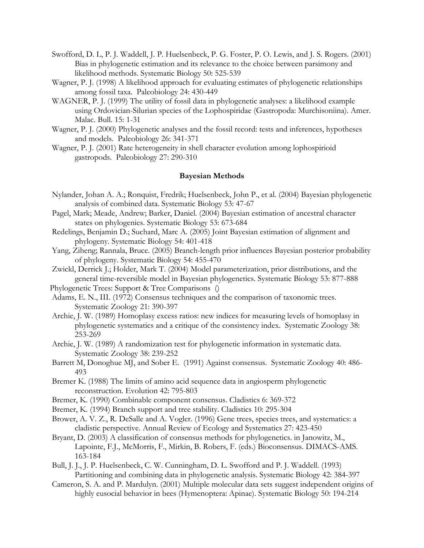- Swofford, D. L, P. J. Waddell, J. P. Huelsenbeck, P. G. Foster, P. O. Lewis, and J. S. Rogers. (2001) Bias in phylogenetic estimation and its relevance to the choice between parsimony and likelihood methods. Systematic Biology 50: 525-539
- Wagner, P. J. (1998) A likelihood approach for evaluating estimates of phylogenetic relationships among fossil taxa. Paleobiology 24: 430-449
- WAGNER, P. J. (1999) The utility of fossil data in phylogenetic analyses: a likelihood example using Ordovician-Silurian species of the Lophospiridae (Gastropoda: Murchisoniina). Amer. Malac. Bull. 15: 1-31
- Wagner, P. J. (2000) Phylogenetic analyses and the fossil record: tests and inferences, hypotheses and models. Paleobiology 26: 341-371
- Wagner, P. J. (2001) Rate heterogeneity in shell character evolution among lophospirioid gastropods. Paleobiology 27: 290-310

## **Bayesian Methods**

- Nylander, Johan A. A.; Ronquist, Fredrik; Huelsenbeck, John P., et al. (2004) Bayesian phylogenetic analysis of combined data. Systematic Biology 53: 47-67
- Pagel, Mark; Meade, Andrew; Barker, Daniel. (2004) Bayesian estimation of ancestral character states on phylogenies. Systematic Biology 53: 673-684
- Redelings, Benjamin D.; Suchard, Marc A. (2005) Joint Bayesian estimation of alignment and phylogeny. Systematic Biology 54: 401-418
- Yang, Ziheng; Rannala, Bruce. (2005) Branch-length prior influences Bayesian posterior probability of phylogeny. Systematic Biology 54: 455-470
- Zwickl, Derrick J.; Holder, Mark T. (2004) Model parameterization, prior distributions, and the general time-reversible model in Bayesian phylogenetics. Systematic Biology 53: 877-888
- Phylogenetic Trees: Support & Tree Comparisons ()
- Adams, E. N., III. (1972) Consensus techniques and the comparison of taxonomic trees. Systematic Zoology 21: 390-397
- Archie, J. W. (1989) Homoplasy excess ratios: new indices for measuring levels of homoplasy in phylogenetic systematics and a critique of the consistency index. Systematic Zoology 38: 253-269
- Archie, J. W. (1989) A randomization test for phylogenetic information in systematic data. Systematic Zoology 38: 239-252
- Barrett M, Donoghue MJ, and Sober E. (1991) Against consensus. Systematic Zoology 40: 486- 493
- Bremer K. (1988) The limits of amino acid sequence data in angiosperm phylogenetic reconstruction. Evolution 42: 795-803
- Bremer, K. (1990) Combinable component consensus. Cladistics 6: 369-372
- Bremer, K. (1994) Branch support and tree stability. Cladistics 10: 295-304
- Brower, A. V. Z., R. DeSalle and A. Vogler. (1996) Gene trees, species trees, and systematics: a cladistic perspective. Annual Review of Ecology and Systematics 27: 423-450
- Bryant, D. (2003) A classification of consensus methods for phylogenetics. in Janowitz, M., Lapointe, F.J., McMorris, F., Mirkin, B. Robers, F. (eds.) Bioconsensus. DIMACS-AMS. 163-184
- Bull, J. J., J. P. Huelsenbeck, C. W. Cunningham, D. L. Swofford and P. J. Waddell. (1993) Partitioning and combining data in phylogenetic analysis. Systematic Biology 42: 384-397
- Cameron, S. A. and P. Mardulyn. (2001) Multiple molecular data sets suggest independent origins of highly eusocial behavior in bees (Hymenoptera: Apinae). Systematic Biology 50: 194-214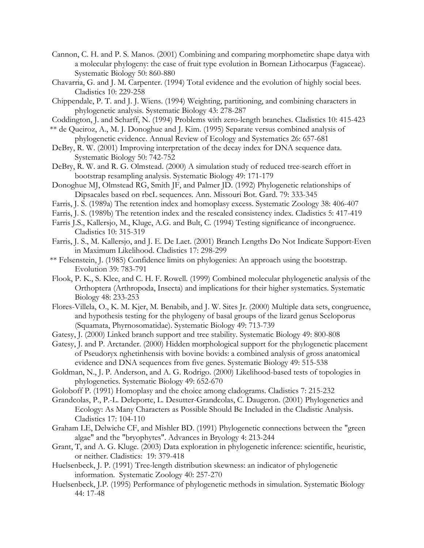- Cannon, C. H. and P. S. Manos. (2001) Combining and comparing morphometirc shape datya with a molecular phylogeny: the case of fruit type evolution in Bornean Lithocarpus (Fagaceae). Systematic Biology 50: 860-880
- Chavarria, G. and J. M. Carpenter. (1994) Total evidence and the evolution of highly social bees. Cladistics 10: 229-258
- Chippendale, P. T. and J. J. Wiens. (1994) Weighting, partitioning, and combining characters in phylogenetic analysis. Systematic Biology 43: 278-287
- Coddington, J. and Scharff, N. (1994) Problems with zero-length branches. Cladistics 10: 415-423
- \*\* de Queiroz, A., M. J. Donoghue and J. Kim. (1995) Separate versus combined analysis of phylogenetic evidence. Annual Review of Ecology and Systematics 26: 657-681
- DeBry, R. W. (2001) Improving interpretation of the decay index for DNA sequence data. Systematic Biology 50: 742-752
- DeBry, R. W. and R. G. Olmstead. (2000) A simulation study of reduced tree-search effort in bootstrap resampling analysis. Systematic Biology 49: 171-179
- Donoghue MJ, Olmstead RG, Smith JF, and Palmer JD. (1992) Phylogenetic relationships of Dipsacales based on rbcL sequences. Ann. Missouri Bot. Gard. 79: 333-345
- Farris, J. S. (1989a) The retention index and homoplasy excess. Systematic Zoology 38: 406-407
- Farris, J. S. (1989b) The retention index and the rescaled consistency index. Cladistics 5: 417-419
- Farris J.S., Kallersjo, M., Kluge, A.G. and Bult, C. (1994) Testing significance of incongruence. Cladistics 10: 315-319
- Farris, J. S., M. Kallersjo, and J. E. De Laet. (2001) Branch Lengths Do Not Indicate Support-Even in Maximum Likelihood. Cladistics 17: 298-299
- \*\* Felsenstein, J. (1985) Confidence limits on phylogenies: An approach using the bootstrap. Evolution 39: 783-791
- Flook, P. K., S. Klee, and C. H. F. Rowell. (1999) Combined molecular phylogenetic analysis of the Orthoptera (Arthropoda, Insecta) and implications for their higher systematics. Systematic Biology 48: 233-253
- Flores-Villela, O., K. M. Kjer, M. Benabib, and J. W. Sites Jr. (2000) Multiple data sets, congruence, and hypothesis testing for the phylogeny of basal groups of the lizard genus Sceloporus (Squamata, Phyrnosomatidae). Systematic Biology 49: 713-739
- Gatesy, J. (2000) Linked branch support and tree stability. Systematic Biology 49: 800-808
- Gatesy, J. and P. Arctander. (2000) Hidden morphological support for the phylogenetic placement of Pseudoryx nghetinhensis with bovine bovids: a combined analysis of gross anatomical evidence and DNA sequences from five genes. Systematic Biology 49: 515-538
- Goldman, N., J. P. Anderson, and A. G. Rodrigo. (2000) Likelihood-based tests of topologies in phylogenetics. Systematic Biology 49: 652-670
- Goloboff P. (1991) Homoplasy and the choice among cladograms. Cladistics 7: 215-232
- Grandcolas, P., P.-L. Deleporte, L. Desutter-Grandcolas, C. Daugeron. (2001) Phylogenetics and Ecology: As Many Characters as Possible Should Be Included in the Cladistic Analysis. Cladistics 17: 104-110
- Graham LE, Delwiche CF, and Mishler BD. (1991) Phylogenetic connections between the "green algae" and the "bryophytes". Advances in Bryology 4: 213-244
- Grant, T, and A. G. Kluge. (2003) Data exploration in phylogenetic inference: scientific, heuristic, or neither. Cladistics: 19: 379-418
- Huelsenbeck, J. P. (1991) Tree-length distribution skewness: an indicator of phylogenetic information. Systematic Zoology 40: 257-270
- Huelsenbeck, J.P. (1995) Performance of phylogenetic methods in simulation. Systematic Biology 44: 17-48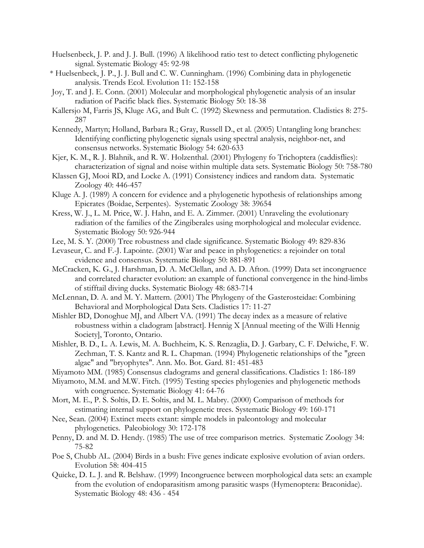- Huelsenbeck, J. P. and J. J. Bull. (1996) A likelihood ratio test to detect conflicting phylogenetic signal. Systematic Biology 45: 92-98
- \* Huelsenbeck, J. P., J. J. Bull and C. W. Cunningham. (1996) Combining data in phylogenetic analysis. Trends Ecol. Evolution 11: 152-158
- Joy, T. and J. E. Conn. (2001) Molecular and morphological phylogenetic analysis of an insular radiation of Pacific black flies. Systematic Biology 50: 18-38
- Kallersjo M, Farris JS, Kluge AG, and Bult C. (1992) Skewness and permutation. Cladistics 8: 275- 287
- Kennedy, Martyn; Holland, Barbara R.; Gray, Russell D., et al. (2005) Untangling long branches: Identifying conflicting phylogenetic signals using spectral analysis, neighbor-net, and consensus networks. Systematic Biology 54: 620-633
- Kjer, K. M., R. J. Blahnik, and R. W. Holzenthal. (2001) Phylogeny fo Trichoptera (caddisflies): characterization of signal and noise within multiple data sets. Systematic Biology 50: 758-780
- Klassen GJ, Mooi RD, and Locke A. (1991) Consistency indices and random data. Systematic Zoology 40: 446-457
- Kluge A. J. (1989) A concern for evidence and a phylogenetic hypothesis of relationships among Epicrates (Boidae, Serpentes). Systematic Zoology 38: 39654
- Kress, W. J., L. M. Price, W. J. Hahn, and E. A. Zimmer. (2001) Unraveling the evolutionary radiation of the families of the Zingiberales using morphological and molecular evidence. Systematic Biology 50: 926-944
- Lee, M. S. Y. (2000) Tree robustness and clade significance. Systematic Biology 49: 829-836
- Levaseur, C. and F.-J. Lapointe. (2001) War and peace in phylogenetics: a rejoinder on total evidence and consensus. Systematic Biology 50: 881-891
- McCracken, K. G., J. Harshman, D. A. McClellan, and A. D. Afton. (1999) Data set incongruence and correlated character evolution: an example of functional convergence in the hind-limbs of stifftail diving ducks. Systematic Biology 48: 683-714
- McLennan, D. A. and M. Y. Mattern. (2001) The Phylogeny of the Gasterosteidae: Combining Behavioral and Morphological Data Sets. Cladistics 17: 11-27
- Mishler BD, Donoghue MJ, and Albert VA. (1991) The decay index as a measure of relative robustness within a cladogram [abstract]. Hennig X [Annual meeting of the Willi Hennig Society], Toronto, Ontario.
- Mishler, B. D., L. A. Lewis, M. A. Buchheim, K. S. Renzaglia, D. J. Garbary, C. F. Delwiche, F. W. Zechman, T. S. Kantz and R. L. Chapman. (1994) Phylogenetic relationships of the "green algae" and "bryophytes". Ann. Mo. Bot. Gard. 81: 451-483
- Miyamoto MM. (1985) Consensus cladograms and general classifications. Cladistics 1: 186-189
- Miyamoto, M.M. and M.W. Fitch. (1995) Testing species phylogenies and phylogenetic methods with congruence. Systematic Biology 41: 64-76
- Mort, M. E., P. S. Soltis, D. E. Soltis, and M. L. Mabry. (2000) Comparison of methods for estimating internal support on phylogenetic trees. Systematic Biology 49: 160-171
- Nee, Sean. (2004) Extinct meets extant: simple models in paleontology and molecular phylogenetics. Paleobiology 30: 172-178
- Penny, D. and M. D. Hendy. (1985) The use of tree comparison metrics. Systematic Zoology 34: 75-82
- Poe S, Chubb AL. (2004) Birds in a bush: Five genes indicate explosive evolution of avian orders. Evolution 58: 404-415
- Quicke, D. L. J. and R. Belshaw. (1999) Incongruence between morphological data sets: an example from the evolution of endoparasitism among parasitic wasps (Hymenoptera: Braconidae). Systematic Biology 48: 436 - 454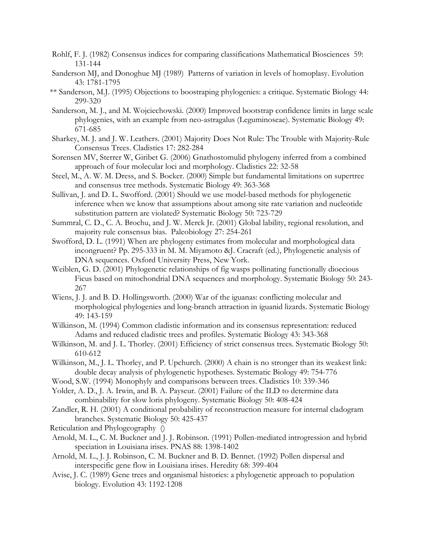- Rohlf, F. J. (1982) Consensus indices for comparing classifications Mathematical Biosciences 59: 131-144
- Sanderson MJ, and Donoghue MJ (1989) Patterns of variation in levels of homoplasy. Evolution 43: 1781-1795
- \*\* Sanderson, M.J. (1995) Objections to boostraping phylogenies: a critique. Systematic Biology 44: 299-320
- Sanderson, M. J., and M. Wojciechowski. (2000) Improved bootstrap confidence limits in large scale phylogenies, with an example from neo-astragalus (Leguminoseae). Systematic Biology 49: 671-685
- Sharkey, M. J. and J. W. Leathers. (2001) Majority Does Not Rule: The Trouble with Majority-Rule Consensus Trees. Cladistics 17: 282-284
- Sorensen MV, Sterrer W, Giribet G. (2006) Gnathostomulid phylogeny inferred from a combined approach of four molecular loci and morphology. Cladistics 22: 32-58
- Steel, M., A. W. M. Dress, and S. Bocker. (2000) Simple but fundamental limitations on supertree and consensus tree methods. Systematic Biology 49: 363-368
- Sullivan, J. and D. L. Swofford. (2001) Should we use model-based methods for phylogenetic inference when we know that assumptions about among site rate variation and nucleotide substitution pattern are violated? Systematic Biology 50: 723-729
- Summral, C. D., C. A. Brochu, and J. W. Merck Jr. (2001) Global lability, regional resolution, and majority rule consensus bias. Paleobiology 27: 254-261
- Swofford, D. L. (1991) When are phylogeny estimates from molecular and morphological data incongruent? Pp. 295-333 in M. M. Miyamoto &J. Cracraft (ed.), Phylogenetic analysis of DNA sequences. Oxford University Press, New York.
- Weiblen, G. D. (2001) Phylogenetic relationships of fig wasps pollinating functionally dioecious Ficus based on mitochondrial DNA sequences and morphology. Systematic Biology 50: 243- 267
- Wiens, J. J. and B. D. Hollingsworth. (2000) War of the iguanas: conflicting molecular and morphological phylogenies and long-branch attraction in iguanid lizards. Systematic Biology 49: 143-159
- Wilkinson, M. (1994) Common cladistic information and its consensus representation: reduced Adams and reduced cladistic trees and profiles. Systematic Biology 43: 343-368
- Wilkinson, M. and J. L. Thorley. (2001) Efficiency of strict consensus trees. Systematic Biology 50: 610-612
- Wilkinson, M., J. L. Thorley, and P. Upchurch. (2000) A chain is no stronger than its weakest link: double decay analysis of phylogenetic hypotheses. Systematic Biology 49: 754-776
- Wood, S.W. (1994) Monophyly and comparisons between trees. Cladistics 10: 339-346
- Yolder, A. D., J. A. Irwin, and B. A. Payseur. (2001) Failure of the ILD to determine data combinability for slow loris phylogeny. Systematic Biology 50: 408-424
- Zandler, R. H. (2001) A conditional probability of reconstruction measure for internal cladogram branches. Systematic Biology 50: 425-437
- Reticulation and Phylogeography ()
- Arnold, M. L., C. M. Buckner and J. J. Robinson. (1991) Pollen-mediated introgression and hybrid speciation in Louisiana irises. PNAS 88: 1398-1402
- Arnold, M. L., J. J. Robinson, C. M. Buckner and B. D. Bennet. (1992) Pollen dispersal and interspecific gene flow in Louisiana irises. Heredity 68: 399-404
- Avise, J. C. (1989) Gene trees and organismal histories: a phylogenetic approach to population biology. Evolution 43: 1192-1208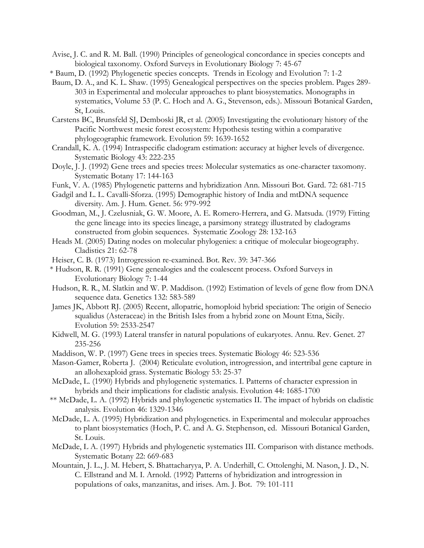- Avise, J. C. and R. M. Ball. (1990) Principles of geneological concordance in species concepts and biological taxonomy. Oxford Surveys in Evolutionary Biology 7: 45-67
- \* Baum, D. (1992) Phylogenetic species concepts. Trends in Ecology and Evolution 7: 1-2
- Baum, D. A., and K. L. Shaw. (1995) Genealogical perspectives on the species problem. Pages 289- 303 in Experimental and molecular approaches to plant biosystematics. Monographs in systematics, Volume 53 (P. C. Hoch and A. G., Stevenson, eds.). Missouri Botanical Garden, St, Louis.
- Carstens BC, Brunsfeld SJ, Demboski JR, et al. (2005) Investigating the evolutionary history of the Pacific Northwest mesic forest ecosystem: Hypothesis testing within a comparative phylogeographic framework. Evolution 59: 1639-1652
- Crandall, K. A. (1994) Intraspecific cladogram estimation: accuracy at higher levels of divergence. Systematic Biology 43: 222-235
- Doyle, J. J. (1992) Gene trees and species trees: Molecular systematics as one-character taxomony. Systematic Botany 17: 144-163
- Funk, V. A. (1985) Phylogenetic patterns and hybridization Ann. Missouri Bot. Gard. 72: 681-715
- Gadgil and L. L. Cavalli-Sforza. (1995) Demographic history of India and mtDNA sequence diversity. Am. J. Hum. Genet. 56: 979-992
- Goodman, M., J. Czelusniak, G. W. Moore, A. E. Romero-Herrera, and G. Matsuda. (1979) Fitting the gene lineage into its species lineage, a parsimony strategy illustrated by cladograms constructed from globin sequences. Systematic Zoology 28: 132-163
- Heads M. (2005) Dating nodes on molecular phylogenies: a critique of molecular biogeography. Cladistics 21: 62-78
- Heiser, C. B. (1973) Introgression re-examined. Bot. Rev. 39: 347-366
- \* Hudson, R. R. (1991) Gene genealogies and the coalescent process. Oxford Surveys in Evolutionary Biology 7: 1-44
- Hudson, R. R., M. Slatkin and W. P. Maddison. (1992) Estimation of levels of gene flow from DNA sequence data. Genetics 132: 583-589
- James JK, Abbott RJ. (2005) Recent, allopatric, homoploid hybrid speciation: The origin of Senecio squalidus (Asteraceae) in the British Isles from a hybrid zone on Mount Etna, Sicily. Evolution 59: 2533-2547
- Kidwell, M. G. (1993) Lateral transfer in natural populations of eukaryotes. Annu. Rev. Genet. 27 235-256
- Maddison, W. P. (1997) Gene trees in species trees. Systematic Biology 46: 523-536
- Mason-Gamer, Roberta J. (2004) Reticulate evolution, introgression, and intertribal gene capture in an allohexaploid grass. Systematic Biology 53: 25-37
- McDade, L. (1990) Hybrids and phylogenetic systematics. I. Patterns of character expression in hybrids and their implications for cladistic analysis. Evolution 44: 1685-1700
- \*\* McDade, L. A. (1992) Hybrids and phylogenetic systematics II. The impact of hybrids on cladistic analysis. Evolution 46: 1329-1346
- McDade, L. A. (1995) Hybridization and phylogenetics. in Experimental and molecular approaches to plant biosystematics (Hoch, P. C. and A. G. Stephenson, ed. Missouri Botanical Garden, St. Louis.
- McDade, L A. (1997) Hybrids and phylogenetic systematics III. Comparison with distance methods. Systematic Botany 22: 669-683
- Mountain, J. L., J. M. Hebert, S. Bhattacharyya, P. A. Underhill, C. Ottolenghi, M. Nason, J. D., N. C. Ellstrand and M. I. Arnold. (1992) Patterns of hybridization and introgression in populations of oaks, manzanitas, and irises. Am. J. Bot. 79: 101-111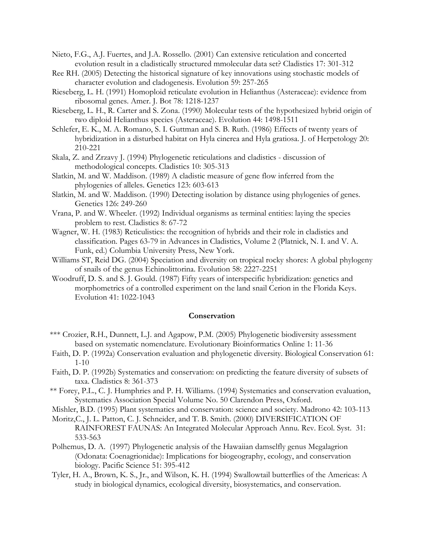- Nieto, F.G., A.J. Fuertes, and J.A. Rossello. (2001) Can extensive reticulation and concerted evolution result in a cladistically structured mmolecular data set? Cladistics 17: 301-312
- Ree RH. (2005) Detecting the historical signature of key innovations using stochastic models of character evolution and cladogenesis. Evolution 59: 257-265
- Rieseberg, L. H. (1991) Homoploid reticulate evolution in Helianthus (Asteraceae): evidence from ribosomal genes. Amer. J. Bot 78: 1218-1237
- Rieseberg, L. H., R. Carter and S. Zona. (1990) Molecular tests of the hypothesized hybrid origin of two diploid Helianthus species (Asteraceae). Evolution 44: 1498-1511
- Schlefer, E. K., M. A. Romano, S. I. Guttman and S. B. Ruth. (1986) Effects of twenty years of hybridization in a disturbed habitat on Hyla cinerea and Hyla gratiosa. J. of Herpetology 20: 210-221
- Skala, Z. and Zrzavy J. (1994) Phylogenetic reticulations and cladistics discussion of methodological concepts. Cladistics 10: 305-313
- Slatkin, M. and W. Maddison. (1989) A cladistic measure of gene flow inferred from the phylogenies of alleles. Genetics 123: 603-613
- Slatkin, M. and W. Maddison. (1990) Detecting isolation by distance using phylogenies of genes. Genetics 126: 249-260
- Vrana, P. and W. Wheeler. (1992) Individual organisms as terminal entities: laying the species problem to rest. Cladistics 8: 67-72
- Wagner, W. H. (1983) Reticulistics: the recognition of hybrids and their role in cladistics and classification. Pages 63-79 in Advances in Cladistics, Volume 2 (Platnick, N. I. and V. A. Funk, ed.) Columbia University Press, New York.
- Williams ST, Reid DG. (2004) Speciation and diversity on tropical rocky shores: A global phylogeny of snails of the genus Echinolittorina. Evolution 58: 2227-2251
- Woodruff, D. S. and S. J. Gould. (1987) Fifty years of interspecific hybridization: genetics and morphometrics of a controlled experiment on the land snail Cerion in the Florida Keys. Evolution 41: 1022-1043

## **Conservation**

- \*\*\* Crozier, R.H., Dunnett, L.J. and Agapow, P.M. (2005) Phylogenetic biodiversity assessment based on systematic nomenclature. Evolutionary Bioinformatics Online 1: 11-36
- Faith, D. P. (1992a) Conservation evaluation and phylogenetic diversity. Biological Conservation 61: 1-10
- Faith, D. P. (1992b) Systematics and conservation: on predicting the feature diversity of subsets of taxa. Cladistics 8: 361-373
- \*\* Forey, P.L., C. J. Humphries and P. H. Williams. (1994) Systematics and conservation evaluation, Systematics Association Special Volume No. 50 Clarendon Press, Oxford.
- Mishler, B.D. (1995) Plant systematics and conservation: science and society. Madrono 42: 103-113
- Moritz,C., J. L. Patton, C. J. Schneider, and T. B. Smith. (2000) DIVERSIFICATION OF RAINFOREST FAUNAS: An Integrated Molecular Approach Annu. Rev. Ecol. Syst. 31: 533-563
- Polhemus, D. A. (1997) Phylogenetic analysis of the Hawaiian damselfly genus Megalagrion (Odonata: Coenagrionidae): Implications for biogeography, ecology, and conservation biology. Pacific Science 51: 395-412
- Tyler, H. A., Brown, K. S., Jr., and Wilson, K. H. (1994) Swallowtail butterflies of the Americas: A study in biological dynamics, ecological diversity, biosystematics, and conservation.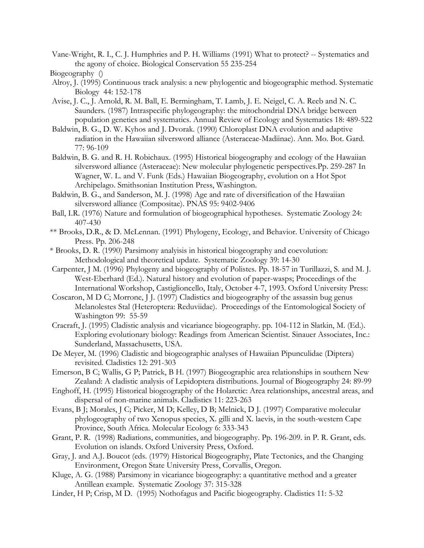Vane-Wright, R. I., C. J. Humphries and P. H. Williams (1991) What to protect? -- Systematics and the agony of choice. Biological Conservation 55 235-254

Biogeography ()

- Alroy, J. (1995) Continuous track analysis: a new phylogentic and biogeographic method. Systematic Biology 44: 152-178
- Avise, J. C., J. Arnold, R. M. Ball, E. Bermingham, T. Lamb, J. E. Neigel, C. A. Reeb and N. C. Saunders. (1987) Intraspecific phylogeography: the mitochondrial DNA bridge between population genetics and systematics. Annual Review of Ecology and Systematics 18: 489-522
- Baldwin, B. G., D. W. Kyhos and J. Dvorak. (1990) Chloroplast DNA evolution and adaptive radiation in the Hawaiian silversword alliance (Asteraceae-Madiinae). Ann. Mo. Bot. Gard. 77: 96-109
- Baldwin, B. G. and R. H. Robichaux. (1995) Historical biogeography and ecology of the Hawaiian silversword alliance (Asteraceae): New molecular phylogenetic perspectives.Pp. 259-287 In Wagner, W. L. and V. Funk (Eds.) Hawaiian Biogeography, evolution on a Hot Spot Archipelago. Smithsonian Institution Press, Washington.
- Baldwin, B. G., and Sanderson, M. J. (1998) Age and rate of diversification of the Hawaiian silversword alliance (Compositae). PNAS 95: 9402-9406
- Ball, I.R. (1976) Nature and formulation of biogeographical hypotheses. Systematic Zoology 24: 407-430
- \*\* Brooks, D.R., & D. McLennan. (1991) Phylogeny, Ecology, and Behavior. University of Chicago Press. Pp. 206-248
- \* Brooks, D. R. (1990) Parsimony analyisis in historical biogeography and coevolution: Methodological and theoretical update. Systematic Zoology 39: 14-30
- Carpenter, J M. (1996) Phylogeny and biogeography of Polistes. Pp. 18-57 in Turillazzi, S. and M. J. West-Eberhard (Ed.). Natural history and evolution of paper-wasps; Proceedings of the International Workshop, Castiglioncello, Italy, October 4-7, 1993. Oxford University Press:
- Coscaron, M D C; Morrone, J J. (1997) Cladistics and biogeography of the assassin bug genus Melanolestes Stal (Heteroptera: Reduviidae). Proceedings of the Entomological Society of Washington 99: 55-59
- Cracraft, J. (1995) Cladistic analysis and vicariance biogeography. pp. 104-112 in Slatkin, M. (Ed.). Exploring evolutionary biology: Readings from American Scientist. Sinauer Associates, Inc.: Sunderland, Massachusetts, USA.
- De Meyer, M. (1996) Cladistic and biogeographic analyses of Hawaiian Pipunculidae (Diptera) revisited. Cladistics 12: 291-303
- Emerson, B C; Wallis, G P; Patrick, B H. (1997) Biogeographic area relationships in southern New Zealand: A cladistic analysis of Lepidoptera distributions. Journal of Biogeography 24: 89-99
- Enghoff, H. (1995) Historical biogeography of the Holarctic: Area relationships, ancestral areas, and dispersal of non-marine animals. Cladistics 11: 223-263
- Evans, B J; Morales, J C; Picker, M D; Kelley, D B; Melnick, D J. (1997) Comparative molecular phylogeography of two Xenopus species, X. gilli and X. laevis, in the south-western Cape Province, South Africa. Molecular Ecology 6: 333-343
- Grant, P. R. (1998) Radiations, communities, and biogeography. Pp. 196-209. in P. R. Grant, eds. Evolution on islands. Oxford University Press, Oxford.
- Gray, J. and A.J. Boucot (eds. (1979) Historical Biogeography, Plate Tectonics, and the Changing Environment, Oregon State University Press, Corvallis, Oregon.
- Kluge, A. G. (1988) Parsimony in vicariance biogeography: a quantitative method and a greater Antillean example. Systematic Zoology 37: 315-328
- Linder, H P; Crisp, M D. (1995) Nothofagus and Pacific biogeography. Cladistics 11: 5-32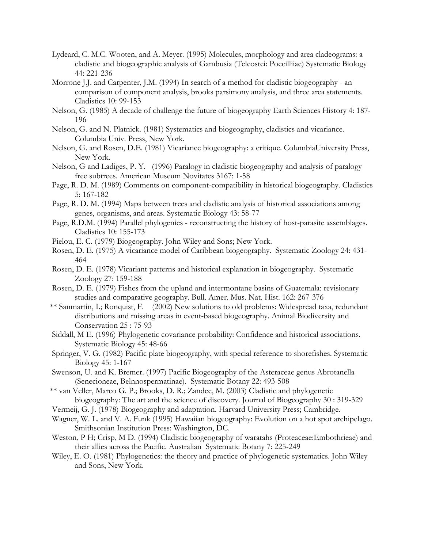- Lydeard, C. M.C. Wooten, and A. Meyer. (1995) Molecules, morphology and area cladeograms: a cladistic and biogeographic analysis of Gambusia (Teleostei: Poecilliiae) Systematic Biology 44: 221-236
- Morrone J.J. and Carpenter, J.M. (1994) In search of a method for cladistic biogeography an comparison of component analysis, brooks parsimony analysis, and three area statements. Cladistics 10: 99-153
- Nelson, G. (1985) A decade of challenge the future of biogeography Earth Sciences History 4: 187- 196
- Nelson, G. and N. Platnick. (1981) Systematics and biogeography, cladistics and vicariance. Columbia Univ. Press, New York.
- Nelson, G. and Rosen, D.E. (1981) Vicariance biogeography: a critique. ColumbiaUniversity Press, New York.
- Nelson, G and Ladiges, P. Y. (1996) Paralogy in cladistic biogeography and analysis of paralogy free subtrees. American Museum Novitates 3167: 1-58
- Page, R. D. M. (1989) Comments on component-compatibility in historical biogeography. Cladistics 5: 167-182
- Page, R. D. M. (1994) Maps between trees and cladistic analysis of historical associations among genes, organisms, and areas. Systematic Biology 43: 58-77
- Page, R.D.M. (1994) Parallel phylogenies reconstructing the history of host-parasite assemblages. Cladistics 10: 155-173
- Pielou, E. C. (1979) Biogeography. John Wiley and Sons; New York.
- Rosen, D. E. (1975) A vicariance model of Caribbean biogeography. Systematic Zoology 24: 431- 464
- Rosen, D. E. (1978) Vicariant patterns and historical explanation in biogeography. Systematic Zoology 27: 159-188
- Rosen, D. E. (1979) Fishes from the upland and intermontane basins of Guatemala: revisionary studies and comparative geography. Bull. Amer. Mus. Nat. Hist. 162: 267-376
- \*\* Sanmartin, I.; Ronquist, F. (2002) New solutions to old problems: Widespread taxa, redundant distributions and missing areas in event-based biogeography. Animal Biodiversity and Conservation 25 : 75-93
- Siddall, M E. (1996) Phylogenetic covariance probability: Confidence and historical associations. Systematic Biology 45: 48-66
- Springer, V. G. (1982) Pacific plate biogeography, with special reference to shorefishes. Systematic Biology 45: 1-167
- Swenson, U. and K. Bremer. (1997) Pacific Biogeography of the Asteraceae genus Abrotanella (Senecioneae, Belnnospermatinae). Systematic Botany 22: 493-508
- \*\* van Veller, Marco G. P.; Brooks, D. R.; Zandee, M. (2003) Cladistic and phylogenetic biogeography: The art and the science of discovery. Journal of Biogeography 30 : 319-329
- Vermeij, G. J. (1978) Biogeography and adaptation. Harvard University Press; Cambridge.
- Wagner, W. L. and V. A. Funk (1995) Hawaiian biogeography: Evolution on a hot spot archipelago. Smithsonian Institution Press: Washington, DC.
- Weston, P H; Crisp, M D. (1994) Cladistic biogeography of waratahs (Proteaceae:Embothrieae) and their allies across the Pacific. Australian Systematic Botany 7: 225-249
- Wiley, E. O. (1981) Phylogenetics: the theory and practice of phylogenetic systematics. John Wiley and Sons, New York.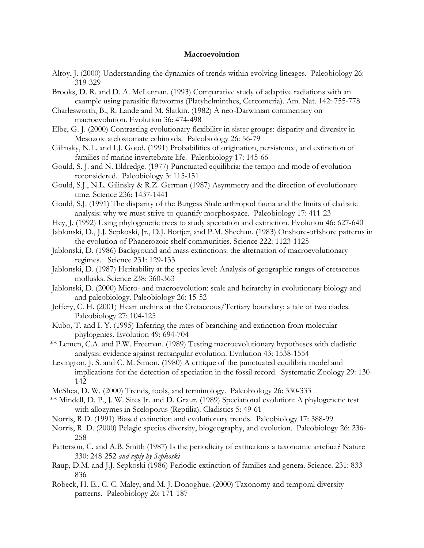### **Macroevolution**

- Alroy, J. (2000) Understanding the dynamics of trends within evolving lineages. Paleobiology 26: 319-329
- Brooks, D. R. and D. A. McLennan. (1993) Comparative study of adaptive radiations with an example using parasitic flatworms (Platyhelminthes, Cercomeria). Am. Nat. 142: 755-778
- Charlesworth, B., R. Lande and M. Slatkin. (1982) A neo-Darwinian commentary on macroevolution. Evolution 36: 474-498
- Elbe, G. J. (2000) Contrasting evolutionary flexibility in sister groups: disparity and diversity in Mesozoic atelostomate echinoids. Paleobiology 26: 56-79
- Gilinsky, N.L. and I.J. Good. (1991) Probabilities of origination, persistence, and extinction of families of marine invertebrate life. Paleobiology 17: 145-66
- Gould, S. J. and N. Eldredge. (1977) Punctuated equilibria: the tempo and mode of evolution reconsidered. Paleobiology 3: 115-151
- Gould, S.J., N.L. Gilinsky & R.Z. German (1987) Asymmetry and the direction of evolutionary time. Science 236: 1437-1441
- Gould, S.J. (1991) The disparity of the Burgess Shale arthropod fauna and the limits of cladistic analysis: why we must strive to quantify morphospace. Paleobiology 17: 411-23
- Hey, J. (1992) Using phylogenetic trees to study speciation and extinction. Evolution 46: 627-640
- Jablonski, D., J.J. Sepkoski, Jr., D.J. Bottjer, and P.M. Sheehan. (1983) Onshore-offshore patterns in the evolution of Phanerozoic shelf communities. Science 222: 1123-1125
- Jablonski, D. (1986) Background and mass extinctions: the alternation of macroevolutionary regimes. Science 231: 129-133
- Jablonski, D. (1987) Heritability at the species level: Analysis of geographic ranges of cretaceous mollusks. Science 238: 360-363
- Jablonski, D. (2000) Micro- and macroevolution: scale and heirarchy in evolutionary biology and and paleobiology. Paleobiology 26: 15-52
- Jeffery, C. H. (2001) Heart urchins at the Cretaceous/Tertiary boundary: a tale of two clades. Paleobiology 27: 104-125
- Kubo, T. and I. Y. (1995) Inferring the rates of branching and extinction from molecular phylogenies. Evolution 49: 694-704
- \*\* Lemen, C.A. and P.W. Freeman. (1989) Testing macroevolutionary hypotheses with cladistic analysis: evidence against rectangular evolution. Evolution 43: 1538-1554
- Levington, J. S. and C. M. Simon. (1980) A critique of the punctuated equilibria model and implications for the detection of speciation in the fossil record. Systematic Zoology 29: 130- 142
- McShea, D. W. (2000) Trends, tools, and terminology. Paleobiology 26: 330-333
- \*\* Mindell, D. P., J. W. Sites Jr. and D. Graur. (1989) Speciational evolution: A phylogenetic test with allozymes in Sceloporus (Reptilia). Cladistics 5: 49-61
- Norris, R.D. (1991) Biased extinction and evolutionary trends. Paleobiology 17: 388-99
- Norris, R. D. (2000) Pelagic species diversity, biogeography, and evolution. Paleobiology 26: 236- 258
- Patterson, C. and A.B. Smith (1987) Is the periodicity of extinctions a taxonomic artefact? Nature 330: 248-252 *and reply by Sepkoski*
- Raup, D.M. and J.J. Sepkoski (1986) Periodic extinction of families and genera. Science. 231: 833- 836
- Robeck, H. E., C. C. Maley, and M. J. Donoghue. (2000) Taxonomy and temporal diversity patterns. Paleobiology 26: 171-187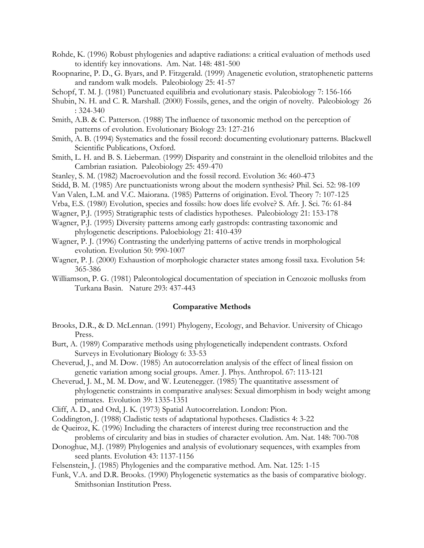Rohde, K. (1996) Robust phylogenies and adaptive radiations: a critical evaluation of methods used to identify key innovations. Am. Nat. 148: 481-500

 Roopnarine, P. D., G. Byars, and P. Fitzgerald. (1999) Anagenetic evolution, stratophenetic patterns and random walk models. Paleobiology 25: 41-57

- Schopf, T. M. J. (1981) Punctuated equilibria and evolutionary stasis. Paleobiology 7: 156-166
- Shubin, N. H. and C. R. Marshall. (2000) Fossils, genes, and the origin of novelty. Paleobiology 26 : 324-340
- Smith, A.B. & C. Patterson. (1988) The influence of taxonomic method on the perception of patterns of evolution. Evolutionary Biology 23: 127-216
- Smith, A. B. (1994) Systematics and the fossil record: documenting evolutionary patterns. Blackwell Scientific Publications, Oxford.
- Smith, L. H. and B. S. Lieberman. (1999) Disparity and constraint in the olenelloid trilobites and the Cambrian rasiation. Paleobiology 25: 459-470
- Stanley, S. M. (1982) Macroevolution and the fossil record. Evolution 36: 460-473
- Stidd, B. M. (1985) Are punctuationists wrong about the modern synthesis? Phil. Sci. 52: 98-109
- Van Valen, L.M. and V.C. Maiorana. (1985) Patterns of origination. Evol. Theory 7: 107-125
- Vrba, E.S. (1980) Evolution, species and fossils: how does life evolve? S. Afr. J. Sci. 76: 61-84
- Wagner, P.J. (1995) Stratigraphic tests of cladistics hypotheses. Paleobiology 21: 153-178
- Wagner, P.J. (1995) Diversity patterns among early gastropds: contrasting taxonomic and phylogenetic descriptions. Paloebiology 21: 410-439
- Wagner, P. J. (1996) Contrasting the underlying patterns of active trends in morphological evolution. Evolution 50: 990-1007
- Wagner, P. J. (2000) Exhaustion of morphologic character states among fossil taxa. Evolution 54: 365-386
- Williamson, P. G. (1981) Paleontological documentation of speciation in Cenozoic mollusks from Turkana Basin. Nature 293: 437-443

#### **Comparative Methods**

- Brooks, D.R., & D. McLennan. (1991) Phylogeny, Ecology, and Behavior. University of Chicago Press.
- Burt, A. (1989) Comparative methods using phylogenetically independent contrasts. Oxford Surveys in Evolutionary Biology 6: 33-53
- Cheverud, J., and M. Dow. (1985) An autocorrelation analysis of the effect of lineal fission on genetic variation among social groups. Amer. J. Phys. Anthropol. 67: 113-121
- Cheverud, J. M., M. M. Dow, and W. Leutenegger. (1985) The quantitative assessment of phylogenetic constraints in comparative analyses: Sexual dimorphism in body weight among primates. Evolution 39: 1335-1351
- Cliff, A. D., and Ord, J. K. (1973) Spatial Autocorrelation. London: Pion.
- Coddington, J. (1988) Cladistic tests of adaptational hypotheses. Cladistics 4: 3-22
- de Queiroz, K. (1996) Including the characters of interest during tree reconstruction and the problems of circularity and bias in studies of character evolution. Am. Nat. 148: 700-708
- Donoghue, M.J. (1989) Phylogenies and analysis of evolutionary sequences, with examples from seed plants. Evolution 43: 1137-1156
- Felsenstein, J. (1985) Phylogenies and the comparative method. Am. Nat. 125: 1-15
- Funk, V.A. and D.R. Brooks. (1990) Phylogenetic systematics as the basis of comparative biology. Smithsonian Institution Press.